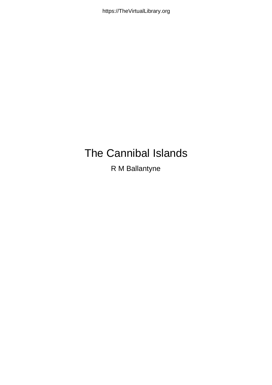# V@ (Oat } aat (Q at å  $U$ Á Ábatat $\alpha$   $\in$   $\wedge$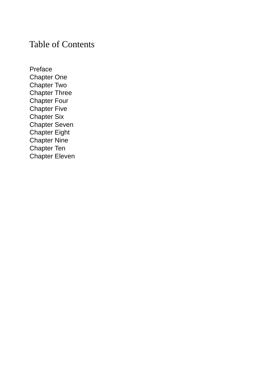#### Table of Contents

[Preface](#page-2-0) [Chapter](#page-3-0) One [Chapter](#page-5-0) Two [Chapter](#page-9-0) Three [Chapter](#page-13-0) Four [Chapter](#page-17-0) Five [Chapter](#page-21-0) Six [Chapter](#page-24-0) Seven [Chapter](#page-30-0) Eight [Chapter](#page-34-0) Nine [Chapter](#page-38-0) Ten [Chapter](#page-45-0) Eleven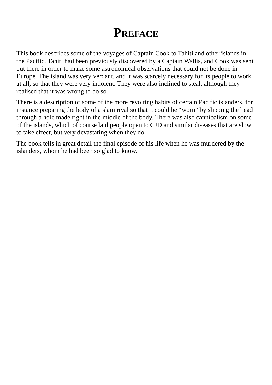#### **PREFACE**

<span id="page-2-0"></span>This book describes some of the voyages of Captain Cook to Tahiti and other islands in the Pacific. Tahiti had been previously discovered by a Captain Wallis, and Cook was sent out there in order to make some astronomical observations that could not be done in Europe. The island was very verdant, and it was scarcely necessary for its people to work at all, so that they were very indolent. They were also inclined to steal, although they realised that it was wrong to do so.

There is a description of some of the more revolting habits of certain Pacific islanders, for instance preparing the body of a slain rival so that it could be "worn" by slipping the head through a hole made right in the middle of the body. There was also cannibalism on some of the islands, which of course laid people open to CJD and similar diseases that are slow to take effect, but very devastating when they do.

The book tells in great detail the final episode of his life when he was murdered by the islanders, whom he had been so glad to know.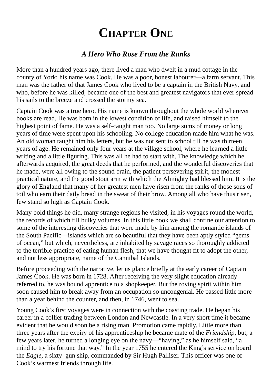### **CHAPTER ONE**

#### *A Hero Who Rose From the Ranks*

<span id="page-3-0"></span>More than a hundred years ago, there lived a man who dwelt in a mud cottage in the county of York; his name was Cook. He was a poor, honest labourer—a farm servant. This man was the father of that James Cook who lived to be a captain in the British Navy, and who, before he was killed, became one of the best and greatest navigators that ever spread his sails to the breeze and crossed the stormy sea.

Captain Cook was a true hero. His name is known throughout the whole world wherever books are read. He was born in the lowest condition of life, and raised himself to the highest point of fame. He was a self–taught man too. No large sums of money or long years of time were spent upon his schooling. No college education made him what he was. An old woman taught him his letters, but he was not sent to school till he was thirteen years of age. He remained only four years at the village school, where he learned a little writing and a little figuring. This was all he had to start with. The knowledge which he afterwards acquired, the great deeds that he performed, and the wonderful discoveries that he made, were all owing to the sound brain, the patient persevering spirit, the modest practical nature, and the good stout arm with which the Almighty had blessed him. It is the glory of England that many of her greatest men have risen from the ranks of those sons of toil who earn their daily bread in the sweat of their brow. Among all who have thus risen, few stand so high as Captain Cook.

Many bold things he did, many strange regions he visited, in his voyages round the world, the records of which fill bulky volumes. In this little book we shall confine our attention to some of the interesting discoveries that were made by him among the romantic islands of the South Pacific—islands which are so beautiful that they have been aptly styled "gems of ocean," but which, nevertheless, are inhabited by savage races so thoroughly addicted to the terrible practice of eating human flesh, that we have thought fit to adopt the other, and not less appropriate, name of the Cannibal Islands.

Before proceeding with the narrative, let us glance briefly at the early career of Captain James Cook. He was born in 1728. After receiving the very slight education already referred to, he was bound apprentice to a shopkeeper. But the roving spirit within him soon caused him to break away from an occupation so uncongenial. He passed little more than a year behind the counter, and then, in 1746, went to sea.

Young Cook's first voyages were in connection with the coasting trade. He began his career in a collier trading between London and Newcastle. In a very short time it became evident that he would soon be a rising man. Promotion came rapidly. Little more than three years after the expiry of his apprenticeship he became mate of the *Friendship*, but, a few years later, he turned a longing eye on the navy—"having," as he himself said, "a mind to try his fortune that way." In the year 1755 he entered the King's service on board the *Eagle*, a sixty–gun ship, commanded by Sir Hugh Palliser. This officer was one of Cook's warmest friends through life.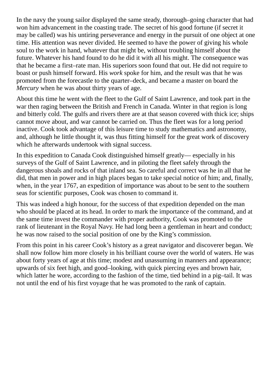In the navy the young sailor displayed the same steady, thorough–going character that had won him advancement in the coasting trade. The secret of his good fortune (if secret it may be called) was his untiring perseverance and energy in the pursuit of one object at one time. His attention was never divided. He seemed to have the power of giving his whole soul to the work in hand, whatever that might be, without troubling himself about the future. Whatever his hand found to do he did it with all his might. The consequence was that he became a first–rate man. His superiors soon found that out. He did not require to boast or push himself forward. His *work* spoke for him, and the result was that he was promoted from the forecastle to the quarter–deck, and became a master on board the *Mercury* when he was about thirty years of age.

About this time he went with the fleet to the Gulf of Saint Lawrence, and took part in the war then raging between the British and French in Canada. Winter in that region is long and bitterly cold. The gulfs and rivers there are at that season covered with thick ice; ships cannot move about, and war cannot be carried on. Thus the fleet was for a long period inactive. Cook took advantage of this leisure time to study mathematics and astronomy, and, although he little thought it, was thus fitting himself for the great work of discovery which he afterwards undertook with signal success.

In this expedition to Canada Cook distinguished himself greatly— especially in his surveys of the Gulf of Saint Lawrence, and in piloting the fleet safely through the dangerous shoals and rocks of that inland sea. So careful and correct was he in all that he did, that men in power and in high places began to take special notice of him; and, finally, when, in the year 1767, an expedition of importance was about to be sent to the southern seas for scientific purposes, Cook was chosen to command it.

This was indeed a high honour, for the success of that expedition depended on the man who should be placed at its head. In order to mark the importance of the command, and at the same time invest the commander with proper authority, Cook was promoted to the rank of lieutenant in the Royal Navy. He had long been a gentleman in heart and conduct; he was now raised to the social position of one by the King's commission.

From this point in his career Cook's history as a great navigator and discoverer began. We shall now follow him more closely in his brilliant course over the world of waters. He was about forty years of age at this time; modest and unassuming in manners and appearance; upwards of six feet high, and good–looking, with quick piercing eyes and brown hair, which latter he wore, according to the fashion of the time, tied behind in a pig–tail. It was not until the end of his first voyage that he was promoted to the rank of captain.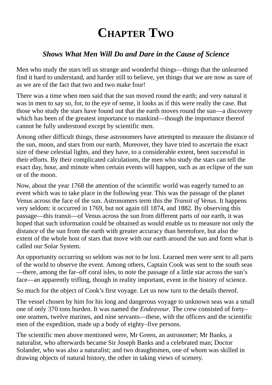# **CHAPTER TWO**

#### <span id="page-5-0"></span>*Shows What Men Will Do and Dare in the Cause of Science*

Men who study the stars tell us strange and wonderful things—things that the unlearned find it hard to understand, and harder still to believe, yet things that we are now as sure of as we are of the fact that two and two make four!

There was a time when men said that the sun moved round the earth; and very natural it was in men to say so, for, to the eye of sense, it looks as if this were really the case. But those who study the stars have found out that the earth moves round the sun—a discovery which has been of the greatest importance to mankind—though the importance thereof cannot be fully understood except by scientific men.

Among other difficult things, these astronomers have attempted to measure the distance of the sun, moon, and stars from our earth. Moreover, they have tried to ascertain the exact size of these celestial lights, and they have, to a considerable extent, been successful in their efforts. By their complicated calculations, the men who study the stars can tell the exact day, hour, and minute when certain events will happen, such as an eclipse of the sun or of the moon.

Now, about the year 1768 the attention of the scientific world was eagerly turned to an event which was to take place in the following year. This was the passage of the planet Venus across the face of the sun. Astronomers term this the *Transit of Venus*. It happens very seldom: it occurred in 1769, but not again till 1874, and 1882. By observing this passage—this transit—of Venus across the sun from different parts of our earth, it was hoped that such information could be obtained as would enable us to measure not only the distance of the sun from the earth with greater accuracy than heretofore, but also the extent of the whole host of stars that move with our earth around the sun and form what is called our Solar System.

An opportunity occurring so seldom was not to be lost. Learned men were sent to all parts of the world to observe the event. Among others, Captain Cook was sent to the south seas —there, among the far–off coral isles, to note the passage of a little star across the sun's face—an apparently trifling, though in reality important, event in the history of science.

So much for the object of Cook's first voyage. Let us now turn to the details thereof.

The vessel chosen by him for his long and dangerous voyage to unknown seas was a small one of only 370 tons burden. It was named the *Endeavour*. The crew consisted of forty– one seamen, twelve marines, and nine servants—these, with the officers and the scientific men of the expedition, made up a body of eighty–five persons.

The scientific men above mentioned were, Mr Green, an astronomer; Mr Banks, a naturalist, who afterwards became Sir Joseph Banks and a celebrated man; Doctor Solander, who was also a naturalist; and two draughtsmen, one of whom was skilled in drawing objects of natural history, the other in taking views of scenery.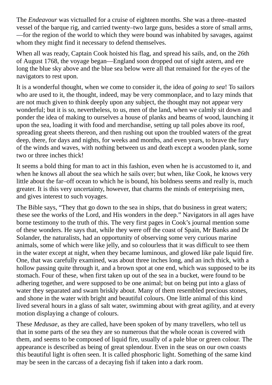The *Endeavour* was victualled for a cruise of eighteen months. She was a three–masted vessel of the barque rig, and carried twenty–two large guns, besides a store of small arms, —for the region of the world to which they were bound was inhabited by savages, against whom they might find it necessary to defend themselves.

When all was ready, Captain Cook hoisted his flag, and spread his sails, and, on the 26th of August 1768, the voyage began—England soon dropped out of sight astern, and ere long the blue sky above and the blue sea below were all that remained for the eyes of the navigators to rest upon.

It is a wonderful thought, when we come to consider it, the idea of *going to sea*! To sailors who are used to it, the thought, indeed, may be very commonplace, and to lazy minds that are not much given to think deeply upon any subject, the thought may not appear very wonderful; but it is so, nevertheless, to us, men of the land, when we calmly sit down and ponder the idea of making to ourselves a house of planks and beams of wood, launching it upon the sea, loading it with food and merchandise, setting up tall poles above its roof, spreading great sheets thereon, and then rushing out upon the troubled waters of the great deep, there, for days and nights, for weeks and months, and even years, to brave the fury of the winds and waves, with nothing between us and death except a wooden plank, some two or three inches thick!

It seems a bold thing for man to act in this fashion, even when he is accustomed to it, and when he knows all about the sea which he sails over; but when, like Cook, he knows very little about the far–off ocean to which he is bound, his boldness seems and really is, much greater. It is this very uncertainty, however, that charms the minds of enterprising men, and gives interest to such voyages.

The Bible says, "They that go down to the sea in ships, that do business in great waters; these see the works of the Lord, and His wonders in the deep." Navigators in all ages have borne testimony to the truth of this. The very first pages in Cook's journal mention some of these wonders. He says that, while they were off the coast of Spain, Mr Banks and Dr Solander, the naturalists, had an opportunity of observing some very curious marine animals, some of which were like jelly, and so colourless that it was difficult to see them in the water except at night, when they became luminous, and glowed like pale liquid fire. One, that was carefully examined, was about three inches long, and an inch thick, with a hollow passing quite through it, and a brown spot at one end, which was supposed to be its stomach. Four of these, when first taken up out of the sea in a bucket, were found to be adhering together, and were supposed to be one animal; but on being put into a glass of water they separated and swam briskly about. Many of them resembled precious stones, and shone in the water with bright and beautiful colours. One little animal of this kind lived several hours in a glass of salt water, swimming about with great agility, and at every motion displaying a change of colours.

These *Medusae*, as they are called, have been spoken of by many travellers, who tell us that in some parts of the sea they are so numerous that the whole ocean is covered with them, and seems to be composed of liquid fire, usually of a pale blue or green colour. The appearance is described as being of great splendour. Even in the seas on our own coasts this beautiful light is often seen. It is called phosphoric light. Something of the same kind may be seen in the carcass of a decaying fish if taken into a dark room.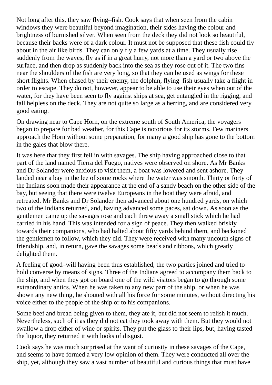Not long after this, they saw flying–fish. Cook says that when seen from the cabin windows they were beautiful beyond imagination, their sides having the colour and brightness of burnished silver. When seen from the deck they did not look so beautiful, because their backs were of a dark colour. It must not be supposed that these fish could fly about in the air like birds. They can only fly a few yards at a time. They usually rise suddenly from the waves, fly as if in a great hurry, not more than a yard or two above the surface, and then drop as suddenly back into the sea as they rose out of it. The two fins near the shoulders of the fish are very long, so that they can be used as wings for these short flights. When chased by their enemy, the dolphin, flying–fish usually take a flight in order to escape. They do not, however, appear to be able to use their eyes when out of the water, for they have been seen to fly against ships at sea, get entangled in the rigging, and fall helpless on the deck. They are not quite so large as a herring, and are considered very good eating.

On drawing near to Cape Horn, on the extreme south of South America, the voyagers began to prepare for bad weather, for this Cape is notorious for its storms. Few mariners approach the Horn without some preparation, for many a good ship has gone to the bottom in the gales that blow there.

It was here that they first fell in with savages. The ship having approached close to that part of the land named Tierra del Fuego, natives were observed on shore. As Mr Banks and Dr Solander were anxious to visit them, a boat was lowered and sent ashore. They landed near a bay in the lee of some rocks where the water was smooth. Thirty or forty of the Indians soon made their appearance at the end of a sandy beach on the other side of the bay, but seeing that there were twelve Europeans in the boat they were afraid, and retreated. Mr Banks and Dr Solander then advanced about one hundred yards, on which two of the Indians returned, and, having advanced some paces, sat down. As soon as the gentlemen came up the savages rose and each threw away a small stick which he had carried in his hand. This was intended for a sign of peace. They then walked briskly towards their companions, who had halted about fifty yards behind them, and beckoned the gentlemen to follow, which they did. They were received with many uncouth signs of friendship, and, in return, gave the savages some beads and ribbons, which greatly delighted them.

A feeling of good–will having been thus established, the two parties joined and tried to hold converse by means of signs. Three of the Indians agreed to accompany them back to the ship, and when they got on board one of the wild visitors began to go through some extraordinary antics. When he was taken to any new part of the ship, or when he was shown any new thing, he shouted with all his force for some minutes, without directing his voice either to the people of the ship or to his companions.

Some beef and bread being given to them, they ate it, but did not seem to relish it much. Nevertheless, such of it as they did not eat they took away with them. But they would not swallow a drop either of wine or spirits. They put the glass to their lips, but, having tasted the liquor, they returned it with looks of disgust.

Cook says he was much surprised at the want of curiosity in these savages of the Cape, and seems to have formed a very low opinion of them. They were conducted all over the ship, yet, although they saw a vast number of beautiful and curious things that must have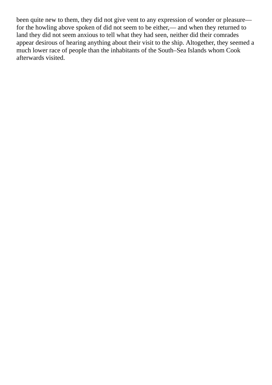been quite new to them, they did not give vent to any expression of wonder or pleasure for the howling above spoken of did not seem to be either,— and when they returned to land they did not seem anxious to tell what they had seen, neither did their comrades appear desirous of hearing anything about their visit to the ship. Altogether, they seemed a much lower race of people than the inhabitants of the South–Sea Islands whom Cook afterwards visited.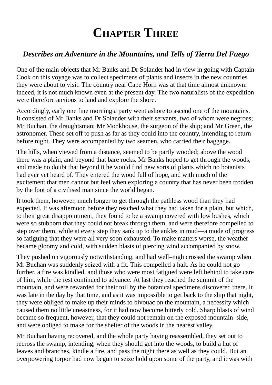# **CHAPTER THREE**

#### <span id="page-9-0"></span>*Describes an Adventure in the Mountains, and Tells of Tierra Del Fuego*

One of the main objects that Mr Banks and Dr Solander had in view in going with Captain Cook on this voyage was to collect specimens of plants and insects in the new countries they were about to visit. The country near Cape Horn was at that time almost unknown: indeed, it is not much known even at the present day. The two naturalists of the expedition were therefore anxious to land and explore the shore.

Accordingly, early one fine morning a party went ashore to ascend one of the mountains. It consisted of Mr Banks and Dr Solander with their servants, two of whom were negroes; Mr Buchan, the draughtsman; Mr Monkhouse, the surgeon of the ship; and Mr Green, the astronomer. These set off to push as far as they could into the country, intending to return before night. They were accompanied by two seamen, who carried their baggage.

The hills, when viewed from a distance, seemed to be partly wooded; above the wood there was a plain, and beyond that bare rocks. Mr Banks hoped to get through the woods, and made no doubt that beyond it he would find new sorts of plants which no botanists had ever yet heard of. They entered the wood full of hope, and with much of the excitement that men cannot but feel when exploring a country that has never been trodden by the foot of a civilised man since the world began.

It took them, however, much longer to get through the pathless wood than they had expected. It was afternoon before they reached what they had taken for a plain, but which, to their great disappointment, they found to be a swamp covered with low bushes, which were so stubborn that they could not break through them, and were therefore compelled to step over them, while at every step they sank up to the ankles in mud—a mode of progress so fatiguing that they were all very soon exhausted. To make matters worse, the weather became gloomy and cold, with sudden blasts of piercing wind accompanied by snow.

They pushed on vigorously notwithstanding, and had well–nigh crossed the swamp when Mr Buchan was suddenly seized with a fit. This compelled a halt. As he could not go further, a fire was kindled, and those who were most fatigued were left behind to take care of him, while the rest continued to advance. At last they reached the summit of the mountain, and were rewarded for their toil by the botanical specimens discovered there. It was late in the day by that time, and as it was impossible to get back to the ship that night, they were obliged to make up their minds to bivouac on the mountain, a necessity which caused them no little uneasiness, for it had now become bitterly cold. Sharp blasts of wind became so frequent, however, that they could not remain on the exposed mountain–side, and were obliged to make for the shelter of the woods in the nearest valley.

Mr Buchan having recovered, and the whole party having reassembled, they set out to recross the swamp, intending, when they should get into the woods, to build a hut of leaves and branches, kindle a fire, and pass the night there as well as they could. But an overpowering torpor had now begun to seize hold upon some of the party, and it was with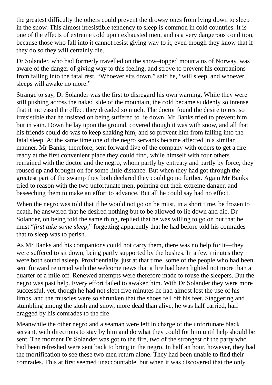the greatest difficulty the others could prevent the drowsy ones from lying down to sleep in the snow. This almost irresistible tendency to sleep is common in cold countries. It is one of the effects of extreme cold upon exhausted men, and is a very dangerous condition, because those who fall into it cannot resist giving way to it, even though they know that if they do so they will certainly die.

Dr Solander, who had formerly travelled on the snow–topped mountains of Norway, was aware of the danger of giving way to this feeling, and strove to prevent his companions from falling into the fatal rest. "Whoever sits down," said he, "will sleep, and whoever sleeps will awake no more."

Strange to say, Dr Solander was the first to disregard his own warning. While they were still pushing across the naked side of the mountain, the cold became suddenly so intense that it increased the effect they dreaded so much. The doctor found the desire to rest so irresistible that he insisted on being suffered to lie down. Mr Banks tried to prevent him, but in vain. Down he lay upon the ground, covered though it was with snow, and all that his friends could do was to keep shaking him, and so prevent him from falling into the fatal sleep. At the same time one of the negro servants became affected in a similar manner. Mr Banks, therefore, sent forward five of the company with orders to get a fire ready at the first convenient place they could find, while himself with four others remained with the doctor and the negro, whom partly by entreaty and partly by force, they roused up and brought on for some little distance. But when they had got through the greatest part of the swamp they both declared they could go no further. Again Mr Banks tried to reason with the two unfortunate men, pointing out their extreme danger, and beseeching them to make an effort to advance. But all he could say had no effect.

When the negro was told that if he would not go on he must, in a short time, be frozen to death, he answered that he desired nothing but to be allowed to lie down and die. Dr Solander, on being told the same thing, replied that he was willing to go on but that he must "*first take some sleep*," forgetting apparently that he had before told his comrades that to sleep was to perish.

As Mr Banks and his companions could not carry them, there was no help for it—they were suffered to sit down, being partly supported by the bushes. In a few minutes they were both sound asleep. Providentially, just at that time, some of the people who had been sent forward returned with the welcome news that a fire had been lighted not more than a quarter of a mile off. Renewed attempts were therefore made to rouse the sleepers. But the negro was past help. Every effort failed to awaken him. With Dr Solander they were more successful, yet, though he had not slept five minutes he had almost lost the use of his limbs, and the muscles were so shrunken that the shoes fell off his feet. Staggering and stumbling among the slush and snow, more dead than alive, he was half carried, half dragged by his comrades to the fire.

Meanwhile the other negro and a seaman were left in charge of the unfortunate black servant, with directions to stay by him and do what they could for him until help should be sent. The moment Dr Solander was got to the fire, two of the strongest of the party who had been refreshed were sent back to bring in the negro. In half an hour, however, they had the mortification to see these two men return alone. They had been unable to find their comrades. This at first seemed unaccountable, but when it was discovered that the only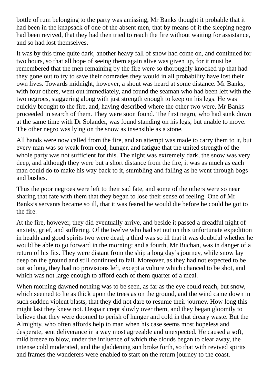bottle of rum belonging to the party was amissing, Mr Banks thought it probable that it had been in the knapsack of one of the absent men, that by means of it the sleeping negro had been revived, that they had then tried to reach the fire without waiting for assistance, and so had lost themselves.

It was by this time quite dark, another heavy fall of snow had come on, and continued for two hours, so that all hope of seeing them again alive was given up, for it must be remembered that the men remaining by the fire were so thoroughly knocked up that had they gone out to try to save their comrades they would in all probability have lost their own lives. Towards midnight, however, a shout was heard at some distance. Mr Banks, with four others, went out immediately, and found the seaman who had been left with the two negroes, staggering along with just strength enough to keep on his legs. He was quickly brought to the fire, and, having described where the other two were, Mr Banks proceeded in search of them. They were soon found. The first negro, who had sunk down at the same time with Dr Solander, was found standing on his legs, but unable to move. The other negro was lying on the snow as insensible as a stone.

All hands were now called from the fire, and an attempt was made to carry them to it, but every man was so weak from cold, hunger, and fatigue that the united strength of the whole party was not sufficient for this. The night was extremely dark, the snow was very deep, and although they were but a short distance from the fire, it was as much as each man could do to make his way back to it, stumbling and falling as he went through bogs and bushes.

Thus the poor negroes were left to their sad fate, and some of the others were so near sharing that fate with them that they began to lose their sense of feeling. One of Mr Banks's servants became so ill, that it was feared he would die before he could be got to the fire.

At the fire, however, they did eventually arrive, and beside it passed a dreadful night of anxiety, grief, and suffering. Of the twelve who had set out on this unfortunate expedition in health and good spirits two were dead; a third was so ill that it was doubtful whether he would be able to go forward in the morning; and a fourth, Mr Buchan, was in danger of a return of his fits. They were distant from the ship a long day's journey, while snow lay deep on the ground and still continued to fall. Moreover, as they had not expected to be out so long, they had no provisions left, except a vulture which chanced to be shot, and which was not large enough to afford each of them quarter of a meal.

When morning dawned nothing was to be seen, as far as the eye could reach, but snow, which seemed to lie as thick upon the trees as on the ground, and the wind came down in such sudden violent blasts, that they did not dare to resume their journey. How long this might last they knew not. Despair crept slowly over them, and they began gloomily to believe that they were doomed to perish of hunger and cold in that dreary waste. But the Almighty, who often affords help to man when his case seems most hopeless and desperate, sent deliverance in a way most agreeable and unexpected. He caused a soft, mild breeze to blow, under the influence of which the clouds began to clear away, the intense cold moderated, and the gladdening sun broke forth, so that with revived spirits and frames the wanderers were enabled to start on the return journey to the coast.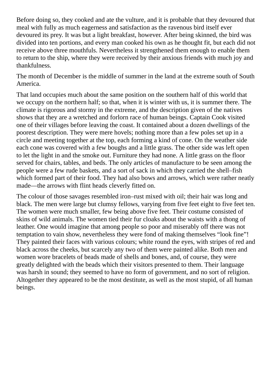Before doing so, they cooked and ate the vulture, and it is probable that they devoured that meal with fully as much eagerness and satisfaction as the ravenous bird itself ever devoured its prey. It was but a light breakfast, however. After being skinned, the bird was divided into ten portions, and every man cooked his own as he thought fit, but each did not receive above three mouthfuls. Nevertheless it strengthened them enough to enable them to return to the ship, where they were received by their anxious friends with much joy and thankfulness.

The month of December is the middle of summer in the land at the extreme south of South America.

That land occupies much about the same position on the southern half of this world that we occupy on the northern half; so that, when it is winter with us, it is summer there. The climate is rigorous and stormy in the extreme, and the description given of the natives shows that they are a wretched and forlorn race of human beings. Captain Cook visited one of their villages before leaving the coast. It contained about a dozen dwellings of the poorest description. They were mere hovels; nothing more than a few poles set up in a circle and meeting together at the top, each forming a kind of cone. On the weather side each cone was covered with a few boughs and a little grass. The other side was left open to let the light in and the smoke out. Furniture they had none. A little grass on the floor served for chairs, tables, and beds. The only articles of manufacture to be seen among the people were a few rude baskets, and a sort of sack in which they carried the shell–fish which formed part of their food. They had also bows and arrows, which were rather neatly made—the arrows with flint heads cleverly fitted on.

The colour of those savages resembled iron–rust mixed with oil; their hair was long and black. The men were large but clumsy fellows, varying from five feet eight to five feet ten. The women were much smaller, few being above five feet. Their costume consisted of skins of wild animals. The women tied their fur cloaks about the waists with a thong of leather. One would imagine that among people so poor and miserably off there was not temptation to vain show, nevertheless they were fond of making themselves "look fine"! They painted their faces with various colours; white round the eyes, with stripes of red and black across the cheeks, but scarcely any two of them were painted alike. Both men and women wore bracelets of beads made of shells and bones, and, of course, they were greatly delighted with the beads which their visitors presented to them. Their language was harsh in sound; they seemed to have no form of government, and no sort of religion. Altogether they appeared to be the most destitute, as well as the most stupid, of all human beings.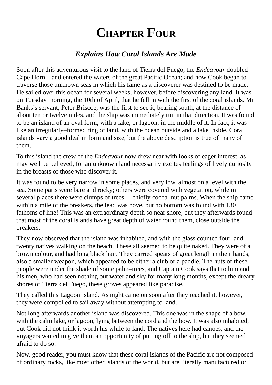# **CHAPTER FOUR**

#### *Explains How Coral Islands Are Made*

<span id="page-13-0"></span>Soon after this adventurous visit to the land of Tierra del Fuego, the *Endeavour* doubled Cape Horn—and entered the waters of the great Pacific Ocean; and now Cook began to traverse those unknown seas in which his fame as a discoverer was destined to be made. He sailed over this ocean for several weeks, however, before discovering any land. It was on Tuesday morning, the 10th of April, that he fell in with the first of the coral islands. Mr Banks's servant, Peter Briscoe, was the first to see it, bearing south, at the distance of about ten or twelve miles, and the ship was immediately run in that direction. It was found to be an island of an oval form, with a lake, or lagoon, in the middle of it. In fact, it was like an irregularly–formed ring of land, with the ocean outside and a lake inside. Coral islands vary a good deal in form and size, but the above description is true of many of them.

To this island the crew of the *Endeavour* now drew near with looks of eager interest, as may well be believed, for an unknown land necessarily excites feelings of lively curiosity in the breasts of those who discover it.

It was found to be very narrow in some places, and very low, almost on a level with the sea. Some parts were bare and rocky; others were covered with vegetation, while in several places there were clumps of trees— chiefly cocoa–nut palms. When the ship came within a mile of the breakers, the lead was hove, but no bottom was found with 130 fathoms of line! This was an extraordinary depth so near shore, but they afterwards found that most of the coral islands have great depth of water round them, close outside the breakers.

They now observed that the island was inhabited, and with the glass counted four–and– twenty natives walking on the beach. These all seemed to be quite naked. They were of a brown colour, and had long black hair. They carried spears of great length in their hands, also a smaller weapon, which appeared to be either a club or a paddle. The huts of these people were under the shade of some palm–trees, and Captain Cook says that to him and his men, who had seen nothing but water and sky for many long months, except the dreary shores of Tierra del Fuego, these groves appeared like paradise.

They called this Lagoon Island. As night came on soon after they reached it, however, they were compelled to sail away without attempting to land.

Not long afterwards another island was discovered. This one was in the shape of a bow, with the calm lake, or lagoon, lying between the cord and the bow. It was also inhabited, but Cook did not think it worth his while to land. The natives here had canoes, and the voyagers waited to give them an opportunity of putting off to the ship, but they seemed afraid to do so.

Now, good reader, you must know that these coral islands of the Pacific are not composed of ordinary rocks, like most other islands of the world, but are literally manufactured or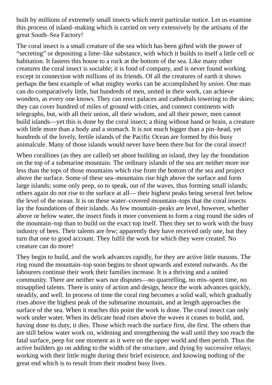built by millions of extremely small insects which merit particular notice. Let us examine this process of island–making which is carried on very extensively by the artisans of the great South–Sea Factory!

The coral insect is a small creature of the sea which has been gifted with the power of "secreting" or depositing a lime–like substance, with which it builds to itself a little cell or habitation. It fastens this house to a rock at the bottom of the sea. Like many other creatures the coral insect is sociable; it is fond of company, and is never found working except in connection with millions of its friends. Of all the creatures of earth it shows perhaps the best example of what mighty works can be accomplished by *union*. One man can do comparatively little, but hundreds of men, united in their work, can achieve wonders, as every one knows. They can erect palaces and cathedrals towering to the skies; they can cover hundred of miles of ground with cities, and connect continents with telegraphs, but, with all their union, all their wisdom, and all their power, men cannot build islands—yet this is done by the coral insect; a thing without hand or brain, a creature with little more than a body and a stomach. It is not much bigger than a pin–head, yet hundreds of the lovely, fertile islands of the Pacific Ocean are formed by this busy animalcule. Many of those islands would never have been there but for the coral insect!

When corallines (as they are called) set about building an island, they lay the foundation on the top of a submarine mountain. The ordinary islands of the sea are neither more nor less than the tops of those mountains which rise from the bottom of the sea and project above the surface. Some of these sea–mountains rise high above the surface and form large islands; some only peep, so to speak, out of the waves, thus forming small islands; others again do not rise to the surface at all— their highest peaks being several feet below the level of the ocean. It is on these water–covered mountain–tops that the coral insects lay the foundations of their islands. As few mountain–peaks are level, however, whether above or below water, the insect finds it more convenient to form a ring round the sides of the mountain–top than to build on the exact top itself. Then they set to work with the busy industry of bees. Their talents are few; apparently they have received only one, but they turn that one to good account. They fulfil the work for which they were created. No creature can do more!

They begin to build, and the work advances rapidly, for they are active little masons. The ring round the mountain–top soon begins to shoot upwards and extend outwards. As the labourers continue their work their families increase. It is a thriving and a united community. There are neither wars nor disputes—no quarrelling, no mis–spent time, no misapplied talents. There is unity of action and design, hence the work advances quickly, steadily, and well. In process of time the coral ring becomes a solid wall, which gradually rises above the highest peak of the submarine mountain, and at length approaches the surface of the sea. When it reaches this point the work is done. The coral insect can only work under water. When its delicate head rises above the waves it ceases to build, and, having done its duty, it dies. Those which reach the surface first, die first. The others that are still below water work on, widening and strengthening the wall until they too reach the fatal surface, peep for one moment as it were on the upper world and then perish. Thus the active builders go on adding to the width of the structure, and dying by successive relays; working with their little might during their brief existence, and knowing nothing of the great end which is to result from their modest busy lives.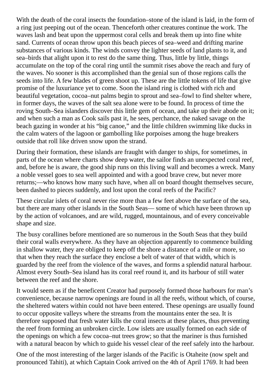With the death of the coral insects the foundation–stone of the island is laid, in the form of a ring just peeping out of the ocean. Thenceforth other creatures continue the work. The waves lash and beat upon the uppermost coral cells and break them up into fine white sand. Currents of ocean throw upon this beach pieces of sea–weed and drifting marine substances of various kinds. The winds convey the lighter seeds of land plants to it, and sea–birds that alight upon it to rest do the same thing. Thus, little by little, things accumulate on the top of the coral ring until the summit rises above the reach and fury of the waves. No sooner is this accomplished than the genial sun of those regions calls the seeds into life. A few blades of green shoot up. These are the little tokens of life that give promise of the luxuriance yet to come. Soon the island ring is clothed with rich and beautiful vegetation, cocoa–nut palms begin to sprout and sea–fowl to find shelter where, in former days, the waves of the salt sea alone were to be found. In process of time the roving South–Sea islanders discover this little gem of ocean, and take up their abode on it; and when such a man as Cook sails past it, he sees, perchance, the naked savage on the beach gazing in wonder at his "big canoe," and the little children swimming like ducks in the calm waters of the lagoon or gambolling like porpoises among the huge breakers outside that roll like driven snow upon the strand.

During their formation, these islands are fraught with danger to ships, for sometimes, in parts of the ocean where charts show deep water, the sailor finds an unexpected coral reef, and, before he is aware, the good ship runs on this living wall and becomes a wreck. Many a noble vessel goes to sea well appointed and with a good brave crew, but never more returns;—who knows how many such have, when all on board thought themselves secure, been dashed to pieces suddenly, and lost upon the coral reefs of the Pacific?

These circular islets of coral never rise more than a few feet above the surface of the sea, but there are many other islands in the South Seas— some of which have been thrown up by the action of volcanoes, and are wild, rugged, mountainous, and of every conceivable shape and size.

The busy corallines before mentioned are so numerous in the South Seas that they build their coral walls everywhere. As they have an objection apparently to commence building in shallow water, they are obliged to keep off the shore a distance of a mile or more, so that when they reach the surface they enclose a belt of water of that width, which is guarded by the reef from the violence of the waves, and forms a splendid natural harbour. Almost every South–Sea island has its coral reef round it, and its harbour of still water between the reef and the shore.

It would seem as if the beneficent Creator had purposely formed those harbours for man's convenience, because narrow openings are found in all the reefs, without which, of course, the sheltered waters within could not have been entered. These openings are usually found to occur opposite valleys where the streams from the mountains enter the sea. It is therefore supposed that fresh water kills the coral insects at these places, thus preventing the reef from forming an unbroken circle. Low islets are usually formed on each side of the openings on which a few cocoa–nut trees grow; so that the mariner is thus furnished with a natural beacon by which to guide his vessel clear of the reef safely into the harbour.

One of the most interesting of the larger islands of the Pacific is Otaheite (now spelt and pronounced Tahiti), at which Captain Cook arrived on the 4th of April 1769. It had been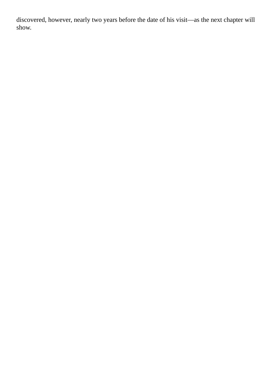discovered, however, nearly two years before the date of his visit—as the next chapter will show.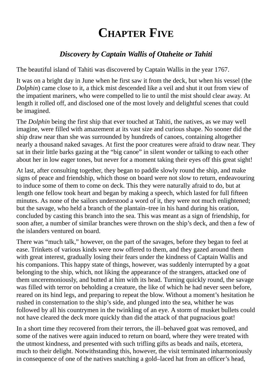# **CHAPTER FIVE**

#### *Discovery by Captain Wallis of Otaheite or Tahiti*

<span id="page-17-0"></span>The beautiful island of Tahiti was discovered by Captain Wallis in the year 1767.

It was on a bright day in June when he first saw it from the deck, but when his vessel (the *Dolphin*) came close to it, a thick mist descended like a veil and shut it out from view of the impatient mariners, who were compelled to lie to until the mist should clear away. At length it rolled off, and disclosed one of the most lovely and delightful scenes that could be imagined.

The *Dolphin* being the first ship that ever touched at Tahiti, the natives, as we may well imagine, were filled with amazement at its vast size and curious shape. No sooner did the ship draw near than she was surrounded by hundreds of canoes, containing altogether nearly a thousand naked savages. At first the poor creatures were afraid to draw near. They sat in their little barks gazing at the "big canoe" in silent wonder or talking to each other about her in low eager tones, but never for a moment taking their eyes off this great sight!

At last, after consulting together, they began to paddle slowly round the ship, and make signs of peace and friendship, which those on board were not slow to return, endeavouring to induce some of them to come on deck. This they were naturally afraid to do, but at length one fellow took heart and began by making a speech, which lasted for full fifteen minutes. As none of the sailors understood a word of it, they were not much enlightened; but the savage, who held a branch of the plantain–tree in his hand during his oration, concluded by casting this branch into the sea. This was meant as a sign of friendship, for soon after, a number of similar branches were thrown on the ship's deck, and then a few of the islanders ventured on board.

There was "much talk," however, on the part of the savages, before they began to feel at ease. Trinkets of various kinds were now offered to them, and they gazed around them with great interest, gradually losing their fears under the kindness of Captain Wallis and his companions. This happy state of things, however, was suddenly interrupted by a goat belonging to the ship, which, not liking the appearance of the strangers, attacked one of them unceremoniously, and butted at him with its head. Turning quickly round, the savage was filled with terror on beholding a creature, the like of which he had never seen before, reared on its hind legs, and preparing to repeat the blow. Without a moment's hesitation he rushed in consternation to the ship's side, and plunged into the sea, whither he was followed by all his countrymen in the twinkling of an eye. A storm of musket bullets could not have cleared the deck more quickly than did the attack of that pugnacious goat!

In a short time they recovered from their terrors, the ill–behaved goat was removed, and some of the natives were again induced to return on board, where they were treated with the utmost kindness, and presented with such trifling gifts as beads and nails, etcetera, much to their delight. Notwithstanding this, however, the visit terminated inharmoniously in consequence of one of the natives snatching a gold–laced hat from an officer's head,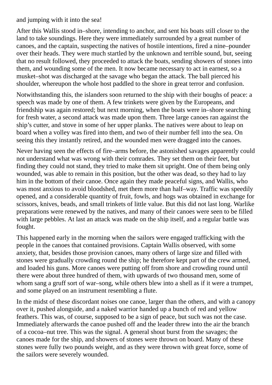and jumping with it into the sea!

After this Wallis stood in–shore, intending to anchor, and sent his boats still closer to the land to take soundings. Here they were immediately surrounded by a great number of canoes, and the captain, suspecting the natives of hostile intentions, fired a nine–pounder over their heads. They were much startled by the unknown and terrible sound, but, seeing that no result followed, they proceeded to attack the boats, sending showers of stones into them, and wounding some of the men. It now became necessary to act in earnest, so a musket–shot was discharged at the savage who began the attack. The ball pierced his shoulder, whereupon the whole host paddled to the shore in great terror and confusion.

Notwithstanding this, the islanders soon returned to the ship with their boughs of peace: a speech was made by one of them. A few trinkets were given by the Europeans, and friendship was again restored; but next morning, when the boats were in–shore searching for fresh water, a second attack was made upon them. Three large canoes ran against the ship's cutter, and stove in some of her upper planks. The natives were about to leap on board when a volley was fired into them, and two of their number fell into the sea. On seeing this they instantly retired, and the wounded men were dragged into the canoes.

Never having seen the effects of fire–arms before, the astonished savages apparently could not understand what was wrong with their comrades. They set them on their feet, but finding they could not stand, they tried to make them sit upright. One of them being only wounded, was able to remain in this position, but the other was dead, so they had to lay him in the bottom of their canoe. Once again they made peaceful signs, and Wallis, who was most anxious to avoid bloodshed, met them more than half–way. Traffic was speedily opened, and a considerable quantity of fruit, fowls, and hogs was obtained in exchange for scissors, knives, beads, and small trinkets of little value. But this did not last long. Warlike preparations were renewed by the natives, and many of their canoes were seen to be filled with large pebbles. At last an attack was made on the ship itself, and a regular battle was fought.

This happened early in the morning when the sailors were engaged trafficking with the people in the canoes that contained provisions. Captain Wallis observed, with some anxiety, that, besides those provision canoes, many others of large size and filled with stones were gradually crowding round the ship; he therefore kept part of the crew armed, and loaded his guns. More canoes were putting off from shore and crowding round until there were about three hundred of them, with upwards of two thousand men, some of whom sang a gruff sort of war–song, while others blew into a shell as if it were a trumpet, and some played on an instrument resembling a flute.

In the midst of these discordant noises one canoe, larger than the others, and with a canopy over it, pushed alongside, and a naked warrior handed up a bunch of red and yellow feathers. This was, of course, supposed to be a sign of peace, but such was not the case. Immediately afterwards the canoe pushed off and the leader threw into the air the branch of a cocoa–nut tree. This was the signal. A general shout burst from the savages; the canoes made for the ship, and showers of stones were thrown on board. Many of these stones were fully two pounds weight, and as they were thrown with great force, some of the sailors were severely wounded.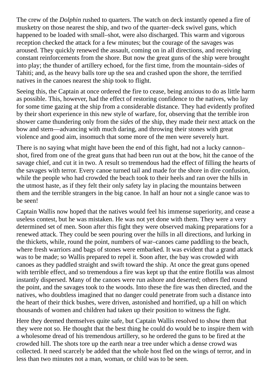The crew of the *Dolphin* rushed to quarters. The watch on deck instantly opened a fire of musketry on those nearest the ship, and two of the quarter–deck swivel guns, which happened to be loaded with small–shot, were also discharged. This warm and vigorous reception checked the attack for a few minutes; but the courage of the savages was aroused. They quickly renewed the assault, coming on in all directions, and receiving constant reinforcements from the shore. But now the great guns of the ship were brought into play; the thunder of artillery echoed, for the first time, from the mountain–sides of Tahiti; and, as the heavy balls tore up the sea and crashed upon the shore, the terrified natives in the canoes nearest the ship took to flight.

Seeing this, the Captain at once ordered the fire to cease, being anxious to do as little harm as possible. This, however, had the effect of restoring confidence to the natives, who lay for some time gazing at the ship from a considerable distance. They had evidently profited by their short experience in this new style of warfare, for, observing that the terrible iron shower came thundering only from the *sides* of the ship, they made their next attack on the bow and stern—advancing with much daring, and throwing their stones with great violence and good aim, insomuch that some more of the men were severely hurt.

There is no saying what might have been the end of this fight, had not a lucky cannon– shot, fired from one of the great guns that had been run out at the bow, hit the canoe of the savage chief, and cut it in two. A result so tremendous had the effect of filling the hearts of the savages with terror. Every canoe turned tail and made for the shore in dire confusion, while the people who had crowded the beach took to their heels and ran over the hills in the utmost haste, as if they felt their only safety lay in placing the mountains between them and the terrible strangers in the big canoe. In half an hour not a single canoe was to be seen!

Captain Wallis now hoped that the natives would feel his immense superiority, and cease a useless contest, but he was mistaken. He was not yet done with them. They were a very determined set of men. Soon after this fight they were observed making preparations for a renewed attack. They could be seen pouring over the hills in all directions, and lurking in the thickets, while, round the point, numbers of war–canoes came paddling to the beach, where fresh warriors and bags of stones were embarked. It was evident that a grand attack was to be made; so Wallis prepared to repel it. Soon after, the bay was crowded with canoes as they paddled straight and swift toward the ship. At once the great guns opened with terrible effect, and so tremendous a fire was kept up that the entire flotilla was almost instantly dispersed. Many of the canoes were run ashore and deserted; others fled round the point, and the savages took to the woods. Into these the fire was then directed, and the natives, who doubtless imagined that no danger could penetrate from such a distance into the heart of their thick bushes, were driven, astonished and horrified, up a hill on which thousands of women and children had taken up their position to witness the fight.

Here they deemed themselves quite safe, but Captain Wallis resolved to show them that they were not so. He thought that the best thing he could do would be to inspire them with a wholesome dread of his tremendous artillery, so he ordered the guns to be fired at the crowded hill. The shots tore up the earth near a tree under which a dense crowd was collected. It need scarcely be added that the whole host fled on the wings of terror, and in less than two minutes not a man, woman, or child was to be seen.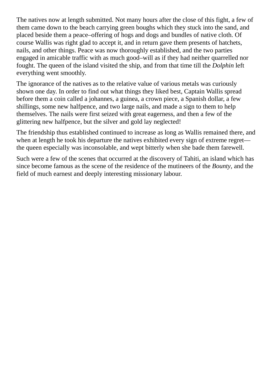The natives now at length submitted. Not many hours after the close of this fight, a few of them came down to the beach carrying green boughs which they stuck into the sand, and placed beside them a peace–offering of hogs and dogs and bundles of native cloth. Of course Wallis was right glad to accept it, and in return gave them presents of hatchets, nails, and other things. Peace was now thoroughly established, and the two parties engaged in amicable traffic with as much good–will as if they had neither quarrelled nor fought. The queen of the island visited the ship, and from that time till the *Dolphin* left everything went smoothly.

The ignorance of the natives as to the relative value of various metals was curiously shown one day. In order to find out what things they liked best, Captain Wallis spread before them a coin called a johannes, a guinea, a crown piece, a Spanish dollar, a few shillings, some new halfpence, and two large nails, and made a sign to them to help themselves. The nails were first seized with great eagerness, and then a few of the glittering new halfpence, but the silver and gold lay neglected!

The friendship thus established continued to increase as long as Wallis remained there, and when at length he took his departure the natives exhibited every sign of extreme regret the queen especially was inconsolable, and wept bitterly when she bade them farewell.

Such were a few of the scenes that occurred at the discovery of Tahiti, an island which has since become famous as the scene of the residence of the mutineers of the *Bounty*, and the field of much earnest and deeply interesting missionary labour.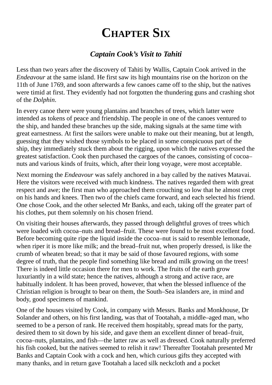### **CHAPTER SIX**

#### *Captain Cook's Visit to Tahiti*

<span id="page-21-0"></span>Less than two years after the discovery of Tahiti by Wallis, Captain Cook arrived in the *Endeavour* at the same island. He first saw its high mountains rise on the horizon on the 11th of June 1769, and soon afterwards a few canoes came off to the ship, but the natives were timid at first. They evidently had not forgotten the thundering guns and crashing shot of the *Dolphin*.

In every canoe there were young plantains and branches of trees, which latter were intended as tokens of peace and friendship. The people in one of the canoes ventured to the ship, and handed these branches up the side, making signals at the same time with great earnestness. At first the sailors were unable to make out their meaning, but at length, guessing that they wished those symbols to be placed in some conspicuous part of the ship, they immediately stuck them about the rigging, upon which the natives expressed the greatest satisfaction. Cook then purchased the cargoes of the canoes, consisting of cocoa– nuts and various kinds of fruits, which, after their long voyage, were most acceptable.

Next morning the *Endeavour* was safely anchored in a bay called by the natives Matavai. Here the visitors were received with much kindness. The natives regarded them with great respect and awe; the first man who approached them crouching so low that he almost crept on his hands and knees. Then two of the chiefs came forward, and each selected his friend. One chose Cook, and the other selected Mr Banks, and each, taking off the greater part of his clothes, put them solemnly on his chosen friend.

On visiting their houses afterwards, they passed through delightful groves of trees which were loaded with cocoa–nuts and bread–fruit. These were found to be most excellent food. Before becoming quite ripe the liquid inside the cocoa–nut is said to resemble lemonade, when riper it is more like milk; and the bread–fruit nut, when properly dressed, is like the crumb of wheaten bread; so that it may be said of those favoured regions, with some degree of truth, that the people find something like bread and milk growing on the trees! There is indeed little occasion there for men to work. The fruits of the earth grow luxuriantly in a wild state; hence the natives, although a strong and active race, are habitually indolent. It has been proved, however, that when the blessed influence of the Christian religion is brought to bear on them, the South–Sea islanders are, in mind and body, good specimens of mankind.

One of the houses visited by Cook, in company with Messrs. Banks and Monkhouse, Dr Solander and others, on his first landing, was that of Tootahah, a middle–aged man, who seemed to be a person of rank. He received them hospitably, spread mats for the party, desired them to sit down by his side, and gave them an excellent dinner of bread–fruit, cocoa–nuts, plantains, and fish—the latter raw as well as dressed. Cook naturally preferred his fish cooked, but the natives seemed to relish it raw! Thereafter Tootahah presented Mr Banks and Captain Cook with a cock and hen, which curious gifts they accepted with many thanks, and in return gave Tootahah a laced silk neckcloth and a pocket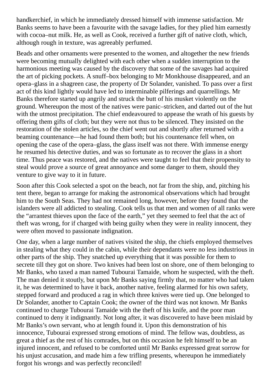handkerchief, in which he immediately dressed himself with immense satisfaction. Mr Banks seems to have been a favourite with the savage ladies, for they plied him earnestly with cocoa–nut milk. He, as well as Cook, received a further gift of native cloth, which, although rough in texture, was agreeably perfumed.

Beads and other ornaments were presented to the women, and altogether the new friends were becoming mutually delighted with each other when a sudden interruption to the harmonious meeting was caused by the discovery that some of the savages had acquired the art of picking pockets. A snuff–box belonging to Mr Monkhouse disappeared, and an opera–glass in a shagreen case, the property of Dr Solander, vanished. To pass over a first act of this kind lightly would have led to interminable pilferings and quarrellings. Mr Banks therefore started up angrily and struck the butt of his musket violently on the ground. Whereupon the most of the natives were panic–stricken, and darted out of the hut with the utmost precipitation. The chief endeavoured to appease the wrath of his guests by offering them gifts of cloth; but they were not thus to be silenced. They insisted on the restoration of the stolen articles, so the chief went out and shortly after returned with a beaming countenance—he had found them both; but his countenance fell when, on opening the case of the opera–glass, the glass itself was not there. With immense energy he resumed his detective duties, and was so fortunate as to recover the glass in a short time. Thus peace was restored, and the natives were taught to feel that their propensity to steal would prove a source of great annoyance and some danger to them, should they venture to give way to it in future.

Soon after this Cook selected a spot on the beach, not far from the ship, and, pitching his tent there, began to arrange for making the astronomical observations which had brought him to the South Seas. They had not remained long, however, before they found that the islanders were all addicted to stealing. Cook tells us that men and women of all ranks were the "arrantest thieves upon the face of the earth," yet they seemed to feel that the act of theft was wrong, for if charged with being guilty when they were in reality innocent, they were often moved to passionate indignation.

One day, when a large number of natives visited the ship, the chiefs employed themselves in stealing what they could in the cabin, while their dependants were no less industrious in other parts of the ship. They snatched up everything that it was possible for them to secrete till they got on shore. Two knives had been lost on shore, one of them belonging to Mr Banks, who taxed a man named Tubourai Tamaide, whom he suspected, with the theft. The man denied it stoutly, but upon Mr Banks saying firmly that, no matter who had taken it, he was determined to have it back, another native, feeling alarmed for his own safety, stepped forward and produced a rag in which three knives were tied up. One belonged to Dr Solander, another to Captain Cook; the owner of the third was not known. Mr Banks continued to charge Tubourai Tamaide with the theft of his knife, and the poor man continued to deny it indignantly. Not long after, it was discovered to have been mislaid by Mr Banks's own servant, who at length found it. Upon this demonstration of his innocence, Tubourai expressed strong emotions of mind. The fellow was, doubtless, as great a thief as the rest of his comrades, but on this occasion he felt himself to be an injured innocent, and refused to be comforted until Mr Banks expressed great sorrow for his unjust accusation, and made him a few trifling presents, whereupon he immediately forgot his wrongs and was perfectly reconciled!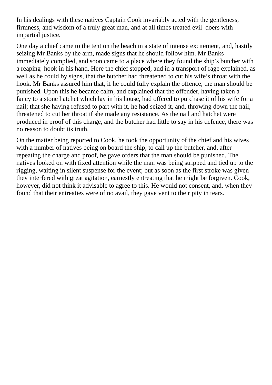In his dealings with these natives Captain Cook invariably acted with the gentleness, firmness, and wisdom of a truly great man, and at all times treated evil–doers with impartial justice.

One day a chief came to the tent on the beach in a state of intense excitement, and, hastily seizing Mr Banks by the arm, made signs that he should follow him. Mr Banks immediately complied, and soon came to a place where they found the ship's butcher with a reaping–hook in his hand. Here the chief stopped, and in a transport of rage explained, as well as he could by signs, that the butcher had threatened to cut his wife's throat with the hook. Mr Banks assured him that, if he could fully explain the offence, the man should be punished. Upon this he became calm, and explained that the offender, having taken a fancy to a stone hatchet which lay in his house, had offered to purchase it of his wife for a nail; that she having refused to part with it, he had seized it, and, throwing down the nail, threatened to cut her throat if she made any resistance. As the nail and hatchet were produced in proof of this charge, and the butcher had little to say in his defence, there was no reason to doubt its truth.

On the matter being reported to Cook, he took the opportunity of the chief and his wives with a number of natives being on board the ship, to call up the butcher, and, after repeating the charge and proof, he gave orders that the man should be punished. The natives looked on with fixed attention while the man was being stripped and tied up to the rigging, waiting in silent suspense for the event; but as soon as the first stroke was given they interfered with great agitation, earnestly entreating that he might be forgiven. Cook, however, did not think it advisable to agree to this. He would not consent, and, when they found that their entreaties were of no avail, they gave vent to their pity in tears.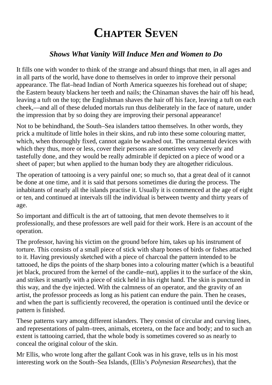### **CHAPTER SEVEN**

#### *Shows What Vanity Will Induce Men and Women to Do*

<span id="page-24-0"></span>It fills one with wonder to think of the strange and absurd things that men, in all ages and in all parts of the world, have done to themselves in order to improve their personal appearance. The flat–head Indian of North America squeezes his forehead out of shape; the Eastern beauty blackens her teeth and nails; the Chinaman shaves the hair off his head, leaving a tuft on the top; the Englishman shaves the hair off his face, leaving a tuft on each cheek,—and all of these deluded mortals run thus deliberately in the face of nature, under the impression that by so doing they are improving their personal appearance!

Not to be behindhand, the South–Sea islanders tattoo themselves. In other words, they prick a multitude of little holes in their skins, and rub into these some colouring matter, which, when thoroughly fixed, cannot again be washed out. The ornamental devices with which they thus, more or less, cover their persons are sometimes very cleverly and tastefully done, and they would be really admirable if depicted on a piece of wood or a sheet of paper; but when applied to the human body they are altogether ridiculous.

The operation of tattooing is a very painful one; so much so, that a great deal of it cannot be done at one time, and it is said that persons sometimes die during the process. The inhabitants of nearly all the islands practise it. Usually it is commenced at the age of eight or ten, and continued at intervals till the individual is between twenty and thirty years of age.

So important and difficult is the art of tattooing, that men devote themselves to it professionally, and these professors are well paid for their work. Here is an account of the operation.

The professor, having his victim on the ground before him, takes up his instrument of torture. This consists of a small piece of stick with sharp bones of birds or fishes attached to it. Having previously sketched with a piece of charcoal the pattern intended to be tattooed, he dips the points of the sharp bones into a colouring matter (which is a beautiful jet black, procured from the kernel of the candle–nut), applies it to the surface of the skin, and strikes it smartly with a piece of stick held in his right hand. The skin is punctured in this way, and the dye injected. With the calmness of an operator, and the gravity of an artist, the professor proceeds as long as his patient can endure the pain. Then he ceases, and when the part is sufficiently recovered, the operation is continued until the device or pattern is finished.

These patterns vary among different islanders. They consist of circular and curving lines, and representations of palm–trees, animals, etcetera, on the face and body; and to such an extent is tattooing carried, that the whole body is sometimes covered so as nearly to conceal the original colour of the skin.

Mr Ellis, who wrote long after the gallant Cook was in his grave, tells us in his most interesting work on the South–Sea Islands, (Ellis's *Polynesian Researches*), that the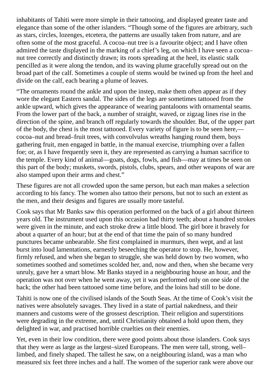inhabitants of Tahiti were more simple in their tattooing, and displayed greater taste and elegance than some of the other islanders. "Though some of the figures are arbitrary, such as stars, circles, lozenges, etcetera, the patterns are usually taken from nature, and are often some of the most graceful. A cocoa–nut tree is a favourite object; and I have often admired the taste displayed in the marking of a chief's leg, on which I have seen a cocoa– nut tree correctly and distinctly drawn; its roots spreading at the heel, its elastic stalk pencilled as it were along the tendon, and its waving plume gracefully spread out on the broad part of the calf. Sometimes a couple of stems would be twined up from the heel and divide on the calf, each bearing a plume of leaves.

"The ornaments round the ankle and upon the instep, make them often appear as if they wore the elegant Eastern sandal. The sides of the legs are sometimes tattooed from the ankle upward, which gives the appearance of wearing pantaloons with ornamental seams. From the lower part of the back, a number of straight, waved, or zigzag lines rise in the direction of the spine, and branch off regularly towards the shoulder. But, of the upper part of the body, the chest is the most tattooed. Every variety of figure is to be seen here, cocoa–nut and bread–fruit trees, with convolvulus wreaths hanging round them, boys gathering fruit, men engaged in battle, in the manual exercise, triumphing over a fallen foe; or, as I have frequently seen it, they are represented as carrying a human sacrifice to the temple. Every kind of animal—goats, dogs, fowls, and fish—may at times be seen on this part of the body; muskets, swords, pistols, clubs, spears, and other weapons of war are also stamped upon their arms and chest."

These figures are not all crowded upon the same person, but each man makes a selection according to his fancy. The women also tattoo their persons, but not to such an extent as the men, and their designs and figures are usually more tasteful.

Cook says that Mr Banks saw this operation performed on the back of a girl about thirteen years old. The instrument used upon this occasion had thirty teeth; about a hundred strokes were given in the minute, and each stroke drew a little blood. The girl bore it bravely for about a quarter of an hour; but at the end of that time the pain of so many hundred punctures became unbearable. She first complained in murmurs, then wept, and at last burst into loud lamentations, earnestly beseeching the operator to stop. He, however, firmly refused, and when she began to struggle, she was held down by two women, who sometimes soothed and sometimes scolded her, and, now and then, when she became very unruly, gave her a smart blow. Mr Banks stayed in a neighbouring house an hour, and the operation was not over when he went away, yet it was performed only on one side of the back; the other had been tattooed some time before, and the loins had still to be done.

Tahiti is now one of the civilised islands of the South Seas. At the time of Cook's visit the natives were absolutely savages. They lived in a state of partial nakedness, and their manners and customs were of the grossest description. Their religion and superstitions were degrading in the extreme, and, until Christianity obtained a hold upon them, they delighted in war, and practised horrible cruelties on their enemies.

Yet, even in their low condition, there were good points about those islanders. Cook says that they were as large as the largest–sized Europeans. The men were tall, strong, well– limbed, and finely shaped. The tallest he saw, on a neighbouring island, was a man who measured six feet three inches and a half. The women of the superior rank were above our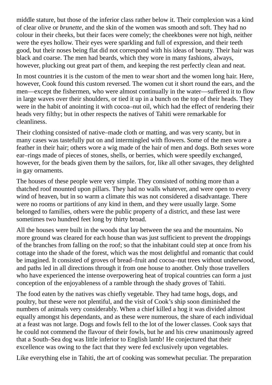middle stature, but those of the inferior class rather below it. Their complexion was a kind of clear olive or *brunette*, and the skin of the women was smooth and soft. They had no colour in their cheeks, but their faces were comely; the cheekbones were not high, neither were the eyes hollow. Their eyes were sparkling and full of expression, and their teeth good, but their noses being flat did not correspond with his ideas of beauty. Their hair was black and coarse. The men had beards, which they wore in many fashions, always, however, plucking out great part of them, and keeping the rest perfectly clean and neat.

In most countries it is the custom of the men to wear short and the women long hair. Here, however, Cook found this custom reversed. The women cut it short round the ears, and the men—except the fishermen, who were almost continually in the water—suffered it to flow in large waves over their shoulders, or tied it up in a bunch on the top of their heads. They were in the habit of anointing it with cocoa–nut oil, which had the effect of rendering their heads very filthy; but in other respects the natives of Tahiti were remarkable for cleanliness.

Their clothing consisted of native–made cloth or matting, and was very scanty, but in many cases was tastefully put on and intermingled with flowers. Some of the men wore a feather in their hair; others wore a wig made of the hair of men and dogs. Both sexes wore ear–rings made of pieces of stones, shells, or berries, which were speedily exchanged, however, for the beads given them by the sailors, for, like all other savages, they delighted in gay ornaments.

The houses of these people were very simple. They consisted of nothing more than a thatched roof mounted upon pillars. They had no walls whatever, and were open to every wind of heaven, but in so warm a climate this was not considered a disadvantage. There were no rooms or partitions of any kind in them, and they were usually large. Some belonged to families, others were the public property of a district, and these last were sometimes two hundred feet long by thirty broad.

All the houses were built in the woods that lay between the sea and the mountains. No more ground was cleared for each house than was just sufficient to prevent the droppings of the branches from falling on the roof; so that the inhabitant could step at once from his cottage into the shade of the forest, which was the most delightful and romantic that could be imagined. It consisted of groves of bread–fruit and cocoa–nut trees without underwood, and paths led in all directions through it from one house to another. Only those travellers who have experienced the intense overpowering heat of tropical countries can form a just conception of the enjoyableness of a ramble through the shady groves of Tahiti.

The food eaten by the natives was chiefly vegetable. They had tame hogs, dogs, and poultry, but these were not plentiful, and the visit of Cook's ship soon diminished the numbers of animals very considerably. When a chief killed a hog it was divided almost equally amongst his dependants, and as these were numerous, the share of each individual at a feast was not large. Dogs and fowls fell to the lot of the lower classes. Cook says that he could not commend the flavour of their fowls, but he and his crew unanimously agreed that a South–Sea dog was little inferior to English lamb! He conjectured that their excellence was owing to the fact that they were fed exclusively upon vegetables.

Like everything else in Tahiti, the art of cooking was somewhat peculiar. The preparation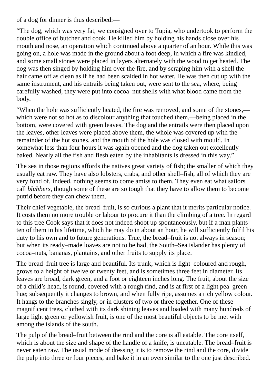of a dog for dinner is thus described:—

"The dog, which was very fat, we consigned over to Tupia, who undertook to perform the double office of butcher and cook. He killed him by holding his hands close over his mouth and nose, an operation which continued above a quarter of an hour. While this was going on, a hole was made in the ground about a foot deep, in which a fire was kindled, and some small stones were placed in layers alternately with the wood to get heated. The dog was then singed by holding him over the fire, and by scraping him with a shell the hair came off as clean as if he had been scalded in hot water. He was then cut up with the same instrument, and his entrails being taken out, were sent to the sea, where, being carefully washed, they were put into cocoa–nut shells with what blood came from the body.

"When the hole was sufficiently heated, the fire was removed, and some of the stones, which were not so hot as to discolour anything that touched them,—being placed in the bottom, were covered with green leaves. The dog and the entrails were then placed upon the leaves, other leaves were placed above them, the whole was covered up with the remainder of the hot stones, and the mouth of the hole was closed with mould. In somewhat less than four hours it was again opened and the dog taken out excellently baked. Nearly all the fish and flesh eaten by the inhabitants is dressed in this way."

The sea in those regions affords the natives great variety of fish; the smaller of which they usually eat raw. They have also lobsters, crabs, and other shell–fish, all of which they are very fond of. Indeed, nothing seems to come amiss to them. They even eat what sailors call *blubbers*, though some of these are so tough that they have to allow them to become putrid before they can chew them.

Their chief vegetable, the bread–fruit, is so curious a plant that it merits particular notice. It costs them no more trouble or labour to procure it than the climbing of a tree. In regard to this tree Cook says that it does not indeed shoot up spontaneously, but if a man plants ten of them in his lifetime, which he may do in about an hour, he will sufficiently fulfil his duty to his own and to future generations. True, the bread–fruit is not always in season; but when its ready–made loaves are not to be had, the South–Sea islander has plenty of cocoa–nuts, bananas, plantains, and other fruits to supply its place.

The bread–fruit tree is large and beautiful. Its trunk, which is light–coloured and rough, grows to a height of twelve or twenty feet, and is sometimes three feet in diameter. Its leaves are broad, dark green, and a foot or eighteen inches long. The fruit, about the size of a child's head, is round, covered with a rough rind, and is at first of a light pea–green hue; subsequently it changes to brown, and when fully ripe, assumes a rich yellow colour. It hangs to the branches singly, or in clusters of two or three together. One of these magnificent trees, clothed with its dark shining leaves and loaded with many hundreds of large light green or yellowish fruit, is one of the most beautiful objects to be met with among the islands of the south.

The pulp of the bread–fruit between the rind and the core is all eatable. The core itself, which is about the size and shape of the handle of a knife, is uneatable. The bread–fruit is never eaten raw. The usual mode of dressing it is to remove the rind and the core, divide the pulp into three or four pieces, and bake it in an oven similar to the one just described.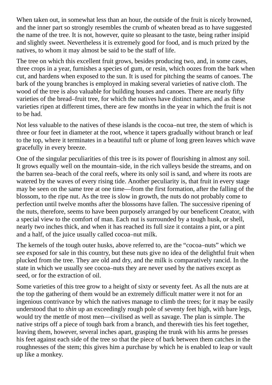When taken out, in somewhat less than an hour, the outside of the fruit is nicely browned, and the inner part so strongly resembles the crumb of wheaten bread as to have suggested the name of the tree. It is not, however, quite so pleasant to the taste, being rather insipid and slightly sweet. Nevertheless it is extremely good for food, and is much prized by the natives, to whom it may almost be said to be the staff of life.

The tree on which this excellent fruit grows, besides producing two, and, in some cases, three crops in a year, furnishes a species of gum, or resin, which oozes from the bark when cut, and hardens when exposed to the sun. It is used for pitching the seams of canoes. The bark of the young branches is employed in making several varieties of native cloth. The wood of the tree is also valuable for building houses and canoes. There are nearly fifty varieties of the bread–fruit tree, for which the natives have distinct names, and as these varieties ripen at different times, there are few months in the year in which the fruit is not to be had.

Not less valuable to the natives of these islands is the cocoa–nut tree, the stem of which is three or four feet in diameter at the root, whence it tapers gradually without branch or leaf to the top, where it terminates in a beautiful tuft or plume of long green leaves which wave gracefully in every breeze.

One of the singular peculiarities of this tree is its power of flourishing in almost any soil. It grows equally well on the mountain–side, in the rich valleys beside the streams, and on the barren sea–beach of the coral reefs, where its only soil is sand, and where its roots are watered by the waves of every rising tide. Another peculiarity is, that fruit in every stage may be seen on the same tree at one time—from the first formation, after the falling of the blossom, to the ripe nut. As the tree is slow in growth, the nuts do not probably come to perfection until twelve months after the blossoms have fallen. The successive ripening of the nuts, therefore, seems to have been purposely arranged by our beneficent Creator, with a special view to the comfort of man. Each nut is surrounded by a tough husk, or shell, nearly two inches thick, and when it has reached its full size it contains a pint, or a pint and a half, of the juice usually called cocoa–nut milk.

The kernels of the tough outer husks, above referred to, are the "cocoa–nuts" which we see exposed for sale in this country, but these nuts give no idea of the delightful fruit when plucked from the tree. They are old and dry, and the milk is comparatively rancid. In the state in which we usually see cocoa–nuts they are never used by the natives except as seed, or for the extraction of oil.

Some varieties of this tree grow to a height of sixty or seventy feet. As all the nuts are at the top the gathering of them would be an extremely difficult matter were it not for an ingenious contrivance by which the natives manage to climb the trees; for it may be easily understood that to *shin* up an exceedingly rough pole of seventy feet high, with bare legs, would try the mettle of most men—civilised as well as savage. The plan is simple. The native strips off a piece of tough bark from a branch, and therewith ties his feet together, leaving them, however, several inches apart, grasping the trunk with his arms he presses his feet against each side of the tree so that the piece of bark between them catches in the roughnesses of the stem; this gives him a purchase by which he is enabled to leap or vault up like a monkey.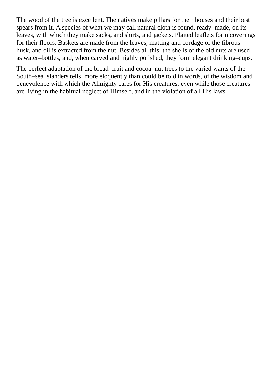The wood of the tree is excellent. The natives make pillars for their houses and their best spears from it. A species of what we may call natural cloth is found, ready–made, on its leaves, with which they make sacks, and shirts, and jackets. Plaited leaflets form coverings for their floors. Baskets are made from the leaves, matting and cordage of the fibrous husk, and oil is extracted from the nut. Besides all this, the shells of the old nuts are used as water–bottles, and, when carved and highly polished, they form elegant drinking–cups.

The perfect adaptation of the bread–fruit and cocoa–nut trees to the varied wants of the South–sea islanders tells, more eloquently than could be told in words, of the wisdom and benevolence with which the Almighty cares for His creatures, even while those creatures are living in the habitual neglect of Himself, and in the violation of all His laws.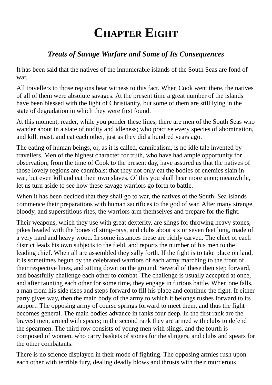# **CHAPTER EIGHT**

#### *Treats of Savage Warfare and Some of Its Consequences*

<span id="page-30-0"></span>It has been said that the natives of the innumerable islands of the South Seas are fond of war.

All travellers to those regions bear witness to this fact. When Cook went there, the natives of all of them were absolute savages. At the present time a great number of the islands have been blessed with the light of Christianity, but some of them are still lying in the state of degradation in which they were first found.

At this moment, reader, while you ponder these lines, there are men of the South Seas who wander about in a state of nudity and idleness; who practise every species of abomination, and kill, roast, and eat each other, just as they did a hundred years ago.

The eating of human beings, or, as it is called, cannibalism, is no idle tale invented by travellers. Men of the highest character for truth, who have had ample opportunity for observation, from the time of Cook to the present day, have assured us that the natives of those lovely regions are cannibals: that they not only eat the bodies of enemies slain in war, but even kill and eat their own slaves. Of this you shall hear more anon; meanwhile, let us turn aside to see how these savage warriors go forth to battle.

When it has been decided that they shall go to war, the natives of the South–Sea islands commence their preparations with human sacrifices to the god of war. After many strange, bloody, and superstitious rites, the warriors arm themselves and prepare for the fight.

Their weapons, which they use with great dexterity, are slings for throwing heavy stones, pikes headed with the bones of sting–rays, and clubs about six or seven feet long, made of a very hard and heavy wood. In some instances these are richly carved. The chief of each district leads his own subjects to the field, and reports the number of his men to the leading chief. When all are assembled they sally forth. If the fight is to take place on land, it is sometimes begun by the celebrated warriors of each army marching to the front of their respective lines, and sitting down on the ground. Several of these then step forward, and boastfully challenge each other to combat. The challenge is usually accepted at once, and after taunting each other for some time, they engage in furious battle. When one falls, a man from his side rises and steps forward to fill his place and continue the fight. If either party gives way, then the main body of the army to which it belongs rushes forward to its support. The opposing army of course springs forward to meet them, and thus the fight becomes general. The main bodies advance in ranks four deep. In the first rank are the bravest men, armed with spears; in the second rank they are armed with clubs to defend the spearmen. The third row consists of young men with slings, and the fourth is composed of women, who carry baskets of stones for the slingers, and clubs and spears for the other combatants.

There is no science displayed in their mode of fighting. The opposing armies rush upon each other with terrible fury, dealing deadly blows and thrusts with their murderous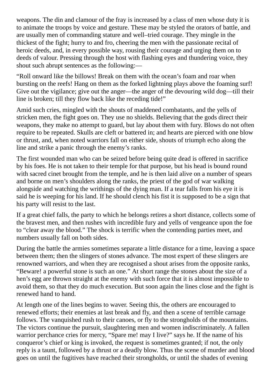weapons. The din and clamour of the fray is increased by a class of men whose duty it is to animate the troops by voice and gesture. These may be styled the orators of battle, and are usually men of commanding stature and well–tried courage. They mingle in the thickest of the fight; hurry to and fro, cheering the men with the passionate recital of heroic deeds, and, in every possible way, rousing their courage and urging them on to deeds of valour. Pressing through the host with flashing eyes and thundering voice, they shout such abrupt sentences as the following:—

"Roll onward like the billows! Break on them with the ocean's foam and roar when bursting on the reefs! Hang on them as the forked lightning plays above the foaming surf! Give out the vigilance; give out the anger—the anger of the devouring wild dog—till their line is broken; till they flow back like the receding tide!"

Amid such cries, mingled with the shouts of maddened combatants, and the yells of stricken men, the fight goes on. They use no shields. Believing that the gods direct their weapons, they make no attempt to guard, but lay about them with fury. Blows do not often require to be repeated. Skulls are cleft or battered in; and hearts are pierced with one blow or thrust, and, when noted warriors fall on either side, shouts of triumph echo along the line and strike a panic through the enemy's ranks.

The first wounded man who can be seized before being quite dead is offered in sacrifice by his foes. He is not taken to their temple for that purpose, but his head is bound round with sacred cinet brought from the temple, and he is then laid alive on a number of spears and borne on men's shoulders along the ranks, the priest of the god of war walking alongside and watching the writhings of the dying man. If a tear falls from his eye it is said he is weeping for his land. If he should clench his fist it is supposed to be a sign that his party will resist to the last.

If a great chief falls, the party to which he belongs retires a short distance, collects some of the bravest men, and then rushes with incredible fury and yells of vengeance upon the foe to "clear away the blood." The shock is terrific when the contending parties meet, and numbers usually fall on both sides.

During the battle the armies sometimes separate a little distance for a time, leaving a space between them; then the slingers of stones advance. The most expert of these slingers are renowned warriors, and when they are recognised a shout arises from the opposite ranks, "Beware! a powerful stone is such an one." At short range the stones about the size of a hen's egg are thrown straight at the enemy with such force that it is almost impossible to avoid them, so that they do much execution. But soon again the lines close and the fight is renewed hand to hand.

At length one of the lines begins to waver. Seeing this, the others are encouraged to renewed efforts; their enemies at last break and fly, and then a scene of terrible carnage follows. The vanquished rush to their canoes, or fly to the strongholds of the mountains. The victors continue the pursuit, slaughtering men and women indiscriminately. A fallen warrior perchance cries for mercy, "Spare me! may I live?" says he. If the name of his conqueror's chief or king is invoked, the request is sometimes granted; if not, the only reply is a taunt, followed by a thrust or a deadly blow. Thus the scene of murder and blood goes on until the fugitives have reached their strongholds, or until the shades of evening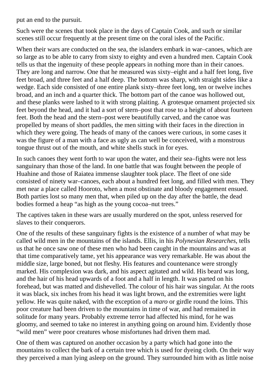put an end to the pursuit.

Such were the scenes that took place in the days of Captain Cook, and such or similar scenes still occur frequently at the present time on the coral isles of the Pacific.

When their wars are conducted on the sea, the islanders embark in war–canoes, which are so large as to be able to carry from sixty to eighty and even a hundred men. Captain Cook tells us that the ingenuity of these people appears in nothing more than in their canoes. They are long and narrow. One that he measured was sixty–eight and a half feet long, five feet broad, and three feet and a half deep. The bottom was sharp, with straight sides like a wedge. Each side consisted of one entire plank sixty–three feet long, ten or twelve inches broad, and an inch and a quarter thick. The bottom part of the canoe was hollowed out, and these planks were lashed to it with strong plaiting. A grotesque ornament projected six feet beyond the head, and it had a sort of stern–post that rose to a height of about fourteen feet. Both the head and the stern–post were beautifully carved, and the canoe was propelled by means of short paddles, the men sitting with their faces in the direction in which they were going. The heads of many of the canoes were curious, in some cases it was the figure of a man with a face as ugly as can well be conceived, with a monstrous tongue thrust out of the mouth, and white shells stuck in for eyes.

In such canoes they went forth to war upon the water, and their sea–fights were not less sanguinary than those of the land. In one battle that was fought between the people of Huahine and those of Raiatea immense slaughter took place. The fleet of one side consisted of ninety war–canoes, each about a hundred feet long, and filled with men. They met near a place called Hooroto, when a most obstinate and bloody engagement ensued. Both parties lost so many men that, when piled up on the day after the battle, the dead bodies formed a heap "as high as the young cocoa–nut trees."

The captives taken in these wars are usually murdered on the spot, unless reserved for slaves to their conquerors.

One of the results of these sanguinary fights is the existence of a number of what may be called wild men in the mountains of the islands. Ellis, in his *Polynesian Researches*, tells us that he once saw one of these men who had been caught in the mountains and was at that time comparatively tame, yet his appearance was very remarkable. He was about the middle size, large boned, but not fleshy. His features and countenance were strongly marked. His complexion was dark, and his aspect agitated and wild. His beard was long, and the hair of his head upwards of a foot and a half in length. It was parted on his forehead, but was matted and dishevelled. The colour of his hair was singular. At the roots it was black, six inches from his head it was light brown, and the extremities were light yellow. He was quite naked, with the exception of a *maro* or girdle round the loins. This poor creature had been driven to the mountains in time of war, and had remained in solitude for many years. Probably extreme terror had affected his mind, for he was gloomy, and seemed to take no interest in anything going on around him. Evidently those "wild men" were poor creatures whose misfortunes had driven them mad.

One of them was captured on another occasion by a party which had gone into the mountains to collect the bark of a certain tree which is used for dyeing cloth. On their way they perceived a man lying asleep on the ground. They surrounded him with as little noise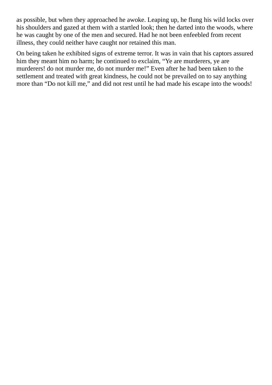as possible, but when they approached he awoke. Leaping up, he flung his wild locks over his shoulders and gazed at them with a startled look; then he darted into the woods, where he was caught by one of the men and secured. Had he not been enfeebled from recent illness, they could neither have caught nor retained this man.

On being taken he exhibited signs of extreme terror. It was in vain that his captors assured him they meant him no harm; he continued to exclaim, "Ye are murderers, ye are murderers! do not murder me, do not murder me!" Even after he had been taken to the settlement and treated with great kindness, he could not be prevailed on to say anything more than "Do not kill me," and did not rest until he had made his escape into the woods!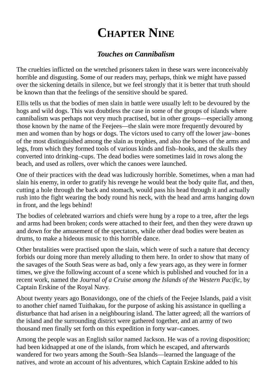# **CHAPTER NINE**

#### *Touches on Cannibalism*

<span id="page-34-0"></span>The cruelties inflicted on the wretched prisoners taken in these wars were inconceivably horrible and disgusting. Some of our readers may, perhaps, think we might have passed over the sickening details in silence, but we feel strongly that it is better that truth should be known than that the feelings of the sensitive should be spared.

Ellis tells us that the bodies of men slain in battle were usually left to be devoured by the hogs and wild dogs. This was doubtless the case in some of the groups of islands where cannibalism was perhaps not very much practised, but in other groups—especially among those known by the name of the Feejees—the slain were more frequently devoured by men and women than by hogs or dogs. The victors used to carry off the lower jaw–bones of the most distinguished among the slain as trophies, and also the bones of the arms and legs, from which they formed tools of various kinds and fish–hooks, and the skulls they converted into drinking–cups. The dead bodies were sometimes laid in rows along the beach, and used as rollers, over which the canoes were launched.

One of their practices with the dead was ludicrously horrible. Sometimes, when a man had slain his enemy, in order to gratify his revenge he would beat the body quite flat, and then, cutting a hole through the back and stomach, would pass his head through it and actually rush into the fight wearing the body round his neck, with the head and arms hanging down in front, and the legs behind!

The bodies of celebrated warriors and chiefs were hung by a rope to a tree, after the legs and arms had been broken; cords were attached to their feet, and then they were drawn up and down for the amusement of the spectators, while other dead bodies were beaten as drums, to make a hideous music to this horrible dance.

Other brutalities were practised upon the slain, which were of such a nature that decency forbids our doing more than merely alluding to them here. In order to show that many of the savages of the South Seas were as bad, only a few years ago, as they were in former times, we give the following account of a scene which is published and vouched for in a recent work, named the *Journal of a Cruise among the Islands of the Western Pacific*, by Captain Erskine of the Royal Navy.

About twenty years ago Bonavidongo, one of the chiefs of the Feejee Islands, paid a visit to another chief named Tuithakau, for the purpose of asking his assistance in quelling a disturbance that had arisen in a neighbouring island. The latter agreed; all the warriors of the island and the surrounding district were gathered together, and an army of two thousand men finally set forth on this expedition in forty war–canoes.

Among the people was an English sailor named Jackson. He was of a roving disposition; had been kidnapped at one of the islands, from which he escaped, and afterwards wandered for two years among the South–Sea Islands—learned the language of the natives, and wrote an account of his adventures, which Captain Erskine added to his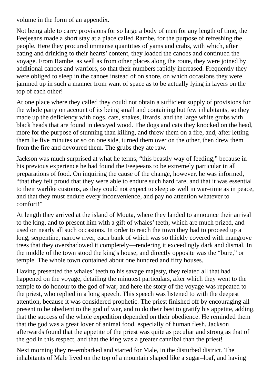volume in the form of an appendix.

Not being able to carry provisions for so large a body of men for any length of time, the Feejeeans made a short stay at a place called Rambe, for the purpose of refreshing the people. Here they procured immense quantities of yams and crabs, with which, after eating and drinking to their hearts' content, they loaded the canoes and continued the voyage. From Rambe, as well as from other places along the route, they were joined by additional canoes and warriors, so that their numbers rapidly increased. Frequently they were obliged to sleep in the canoes instead of on shore, on which occasions they were jammed up in such a manner from want of space as to be actually lying in layers on the top of each other!

At one place where they called they could not obtain a sufficient supply of provisions for the whole party on account of its being small and containing but few inhabitants, so they made up the deficiency with dogs, cats, snakes, lizards, and the large white grubs with black heads that are found in decayed wood. The dogs and cats they knocked on the head, more for the purpose of stunning than killing, and threw them on a fire, and, after letting them lie five minutes or so on one side, turned them over on the other, then drew them from the fire and devoured them. The grubs they ate raw.

Jackson was much surprised at what he terms, "this beastly way of feeding," because in his previous experience he had found the Feejeeans to be extremely particular in all preparations of food. On inquiring the cause of the change, however, he was informed, "that they felt proud that they were able to endure such hard fare, and that it was essential to their warlike customs, as they could not expect to sleep as well in war–time as in peace, and that they must endure every inconvenience, and pay no attention whatever to comfort!"

At length they arrived at the island of Mouta, where they landed to announce their arrival to the king, and to present him with a gift of whales' teeth, which are much prized, and used on nearly all such occasions. In order to reach the town they had to proceed up a long, serpentine, narrow river, each bank of which was so thickly covered with mangrove trees that they overshadowed it completely—rendering it exceedingly dark and dismal. In the middle of the town stood the king's house, and directly opposite was the "bure," or temple. The whole town contained about one hundred and fifty houses.

Having presented the whales' teeth to his savage majesty, they related all that had happened on the voyage, detailing the minutest particulars, after which they went to the temple to do honour to the god of war; and here the story of the voyage was repeated to the priest, who replied in a long speech. This speech was listened to with the deepest attention, because it was considered prophetic. The priest finished off by encouraging all present to be obedient to the god of war, and to do their best to gratify his appetite, adding, that the success of the whole expedition depended on their obedience. He reminded them that the god was a great lover of animal food, especially of human flesh. Jackson afterwards found that the appetite of the priest was quite as peculiar and strong as that of the god in this respect, and that the king was a greater cannibal than the priest!

Next morning they re–embarked and started for Male, in the disturbed district. The inhabitants of Male lived on the top of a mountain shaped like a sugar–loaf, and having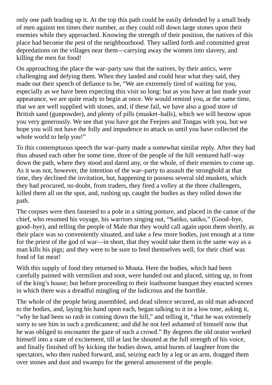only one path leading up it. At the top this path could be easily defended by a small body of men against ten times their number, as they could roll down large stones upon their enemies while they approached. Knowing the strength of their position, the natives of this place had become the pest of the neighbourhood. They sallied forth and committed great depredations on the villages near them—carrying away the women into slavery, and killing the men for food!

On approaching the place the war–party saw that the natives, by their antics, were challenging and defying them. When they landed and could hear what they said, they made out their speech of defiance to be, "We are extremely tired of waiting for you, especially as we have been expecting this visit so long: but as you have at last made your appearance, we are quite ready to begin at once. We would remind you, at the same time, that we are well supplied with stones, and, if these fail, we have also a good store of British sand (gunpowder), and plenty of pills (musket–balls), which we will bestow upon you very generously. We see that you have got the Feejees and Tongas with you, but we hope you will not have the folly and impudence to attack us until you have collected the whole world to help you!"

To this contemptuous speech the war–party made a somewhat similar reply. After they had thus abused each other for some time, three of the people of the hill ventured half–way down the path, where they stood and dared any, or the whole, of their enemies to come up. As it was not, however, the intention of the war–party to assault the stronghold at that time, they declined the invitation, but, happening to possess several old muskets, which they had procured, no doubt, from traders, they fired a volley at the three challengers, killed them all on the spot, and, rushing up, caught the bodies as they rolled down the path.

The corpses were then fastened to a pole in a sitting posture, and placed in the canoe of the chief, who resumed his voyage, his warriors singing out, "Satiko, satiko," (Good–bye, good–bye), and telling the people of Male that they would call again upon them shortly, as their place was so conveniently situated, and take a few more bodies, just enough at a time for the priest of the god of war—in short, that they would take them in the same way as a man kills his pigs; and they were to be sure to feed themselves well, for their chief was fond of fat meat!

With this supply of food they returned to Mouta. Here the bodies, which had been carefully painted with vermilion and soot, were handed out and placed, sitting up, in front of the king's house; but before proceeding to their loathsome banquet they enacted scenes in which there was a dreadful mingling of the ludicrous and the horrible.

The whole of the people being assembled, and dead silence secured, an old man advanced to the bodies, and, laying his hand upon each, began talking to it in a low tone, asking it, "why he had been so rash in coming down the hill," and telling it, "that he was extremely sorry to see him in such a predicament; and did he not feel ashamed of himself now that he was obliged to encounter the gaze of such a crowd." By degrees the old orator worked himself into a state of excitement, till at last he shouted at the full strength of his voice, and finally finished off by kicking the bodies down, amid bursts of laughter from the spectators, who then rushed forward, and, seizing each by a leg or an arm, dragged them over stones and dust and swamps for the general amusement of the people.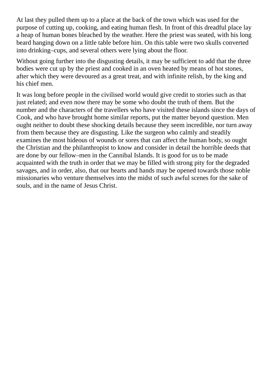At last they pulled them up to a place at the back of the town which was used for the purpose of cutting up, cooking, and eating human flesh. In front of this dreadful place lay a heap of human bones bleached by the weather. Here the priest was seated, with his long beard hanging down on a little table before him. On this table were two skulls converted into drinking–cups, and several others were lying about the floor.

Without going further into the disgusting details, it may be sufficient to add that the three bodies were cut up by the priest and cooked in an oven heated by means of hot stones, after which they were devoured as a great treat, and with infinite relish, by the king and his chief men.

It was long before people in the civilised world would give credit to stories such as that just related; and even now there may be some who doubt the truth of them. But the number and the characters of the travellers who have visited these islands since the days of Cook, and who have brought home similar reports, put the matter beyond question. Men ought neither to doubt these shocking details because they seem incredible, nor turn away from them because they are disgusting. Like the surgeon who calmly and steadily examines the most hideous of wounds or sores that can affect the human body, so ought the Christian and the philanthropist to know and consider in detail the horrible deeds that are done by our fellow–men in the Cannibal Islands. It is good for us to be made acquainted with the truth in order that we may be filled with strong pity for the degraded savages, and in order, also, that our hearts and hands may be opened towards those noble missionaries who venture themselves into the midst of such awful scenes for the sake of souls, and in the name of Jesus Christ.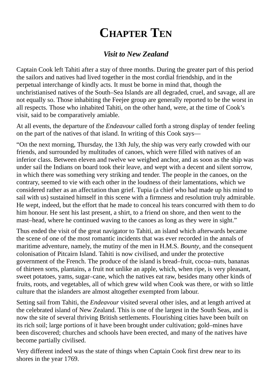### **CHAPTER TEN**

#### *Visit to New Zealand*

<span id="page-38-0"></span>Captain Cook left Tahiti after a stay of three months. During the greater part of this period the sailors and natives had lived together in the most cordial friendship, and in the perpetual interchange of kindly acts. It must be borne in mind that, though the unchristianised natives of the South–Sea Islands are all degraded, cruel, and savage, all are not equally so. Those inhabiting the Feejee group are generally reported to be the worst in all respects. Those who inhabited Tahiti, on the other hand, were, at the time of Cook's visit, said to be comparatively amiable.

At all events, the departure of the *Endeavour* called forth a strong display of tender feeling on the part of the natives of that island. In writing of this Cook says—

"On the next morning, Thursday, the 13th July, the ship was very early crowded with our friends, and surrounded by multitudes of canoes, which were filled with natives of an inferior class. Between eleven and twelve we weighed anchor, and as soon as the ship was under sail the Indians on board took their leave, and wept with a decent and silent sorrow, in which there was something very striking and tender. The people in the canoes, on the contrary, seemed to vie with each other in the loudness of their lamentations, which we considered rather as an affectation than grief. Tupia (a chief who had made up his mind to sail with us) sustained himself in this scene with a firmness and resolution truly admirable. He wept, indeed, but the effort that he made to conceal his tears concurred with them to do him honour. He sent his last present, a shirt, to a friend on shore, and then went to the mast–head, where he continued waving to the canoes as long as they were in sight."

Thus ended the visit of the great navigator to Tahiti, an island which afterwards became the scene of one of the most romantic incidents that was ever recorded in the annals of maritime adventure, namely, the mutiny of the men in H.M.S. *Bounty*, and the consequent colonisation of Pitcairn Island. Tahiti is now civilised, and under the protective government of the French. The produce of the island is bread–fruit, cocoa–nuts, bananas of thirteen sorts, plantains, a fruit not unlike an apple, which, when ripe, is very pleasant, sweet potatoes, yams, sugar–cane, which the natives eat raw, besides many other kinds of fruits, roots, and vegetables, all of which grew wild when Cook was there, or with so little culture that the islanders are almost altogether exempted from labour.

Setting sail from Tahiti, the *Endeavour* visited several other isles, and at length arrived at the celebrated island of New Zealand. This is one of the largest in the South Seas, and is now the site of several thriving British settlements. Flourishing cities have been built on its rich soil; large portions of it have been brought under cultivation; gold–mines have been discovered; churches and schools have been erected, and many of the natives have become partially civilised.

Very different indeed was the state of things when Captain Cook first drew near to its shores in the year 1769.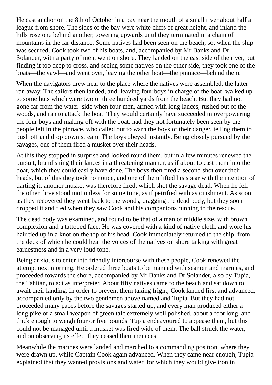He cast anchor on the 8th of October in a bay near the mouth of a small river about half a league from shore. The sides of the bay were white cliffs of great height, and inland the hills rose one behind another, towering upwards until they terminated in a chain of mountains in the far distance. Some natives had been seen on the beach, so, when the ship was secured, Cook took two of his boats, and, accompanied by Mr Banks and Dr Solander, with a party of men, went on shore. They landed on the east side of the river, but finding it too deep to cross, and seeing some natives on the other side, they took one of the boats—the yawl—and went over, leaving the other boat—the pinnace—behind them.

When the navigators drew near to the place where the natives were assembled, the latter ran away. The sailors then landed, and, leaving four boys in charge of the boat, walked up to some huts which were two or three hundred yards from the beach. But they had not gone far from the water–side when four men, armed with long lances, rushed out of the woods, and ran to attack the boat. They would certainly have succeeded in overpowering the four boys and making off with the boat, had they not fortunately been seen by the people left in the pinnace, who called out to warn the boys of their danger, telling them to push off and drop down stream. The boys obeyed instantly. Being closely pursued by the savages, one of them fired a musket over their heads.

At this they stopped in surprise and looked round them, but in a few minutes renewed the pursuit, brandishing their lances in a threatening manner, as if about to cast them into the boat, which they could easily have done. The boys then fired a second shot over their heads, but of this they took no notice, and one of them lifted his spear with the intention of darting it; another musket was therefore fired, which shot the savage dead. When he fell the other three stood motionless for some time, as if petrified with astonishment. As soon as they recovered they went back to the woods, dragging the dead body, but they soon dropped it and fled when they saw Cook and his companions running to the rescue.

The dead body was examined, and found to be that of a man of middle size, with brown complexion and a tattooed face. He was covered with a kind of native cloth, and wore his hair tied up in a knot on the top of his head. Cook immediately returned to the ship, from the deck of which he could hear the voices of the natives on shore talking with great earnestness and in a very loud tone.

Being anxious to enter into friendly intercourse with these people, Cook renewed the attempt next morning. He ordered three boats to be manned with seamen and marines, and proceeded towards the shore, accompanied by Mr Banks and Dr Solander, also by Tupia, the Tahitan, to act as interpreter. About fifty natives came to the beach and sat down to await their landing. In order to prevent them taking fright, Cook landed first and advanced, accompanied only by the two gentlemen above named and Tupia. But they had not proceeded many paces before the savages started up, and every man produced either a long pike or a small weapon of green talc extremely well polished, about a foot long, and thick enough to weigh four or five pounds. Tupia endeavoured to appease them, but this could not be managed until a musket was fired wide of them. The ball struck the water, and on observing its effect they ceased their menaces.

Meanwhile the marines were landed and marched to a commanding position, where they were drawn up, while Captain Cook again advanced. When they came near enough, Tupia explained that they wanted provisions and water, for which they would give iron in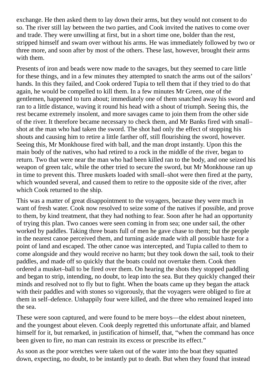exchange. He then asked them to lay down their arms, but they would not consent to do so. The river still lay between the two parties, and Cook invited the natives to come over and trade. They were unwilling at first, but in a short time one, bolder than the rest, stripped himself and swam over without his arms. He was immediately followed by two or three more, and soon after by most of the others. These last, however, brought their arms with them.

Presents of iron and beads were now made to the savages, but they seemed to care little for these things, and in a few minutes they attempted to snatch the arms out of the sailors' hands. In this they failed, and Cook ordered Tupia to tell them that if they tried to do that again, he would be compelled to kill them. In a few minutes Mr Green, one of the gentlemen, happened to turn about; immediately one of them snatched away his sword and ran to a little distance, waving it round his head with a shout of triumph. Seeing this, the rest became extremely insolent, and more savages came to join them from the other side of the river. It therefore became necessary to check them, and Mr Banks fired with small– shot at the man who had taken the sword. The shot had only the effect of stopping his shouts and causing him to retire a little farther off, still flourishing the sword, however. Seeing this, Mr Monkhouse fired with ball, and the man dropt instantly. Upon this the main body of the natives, who had retired to a rock in the middle of the river, began to return. Two that were near the man who had been killed ran to the body, and one seized his weapon of green talc, while the other tried to secure the sword, but Mr Monkhouse ran up in time to prevent this. Three muskets loaded with small–shot were then fired at the party, which wounded several, and caused them to retire to the opposite side of the river, after which Cook returned to the ship.

This was a matter of great disappointment to the voyagers, because they were much in want of fresh water. Cook now resolved to seize some of the natives if possible, and prove to them, by kind treatment, that they had nothing to fear. Soon after he had an opportunity of trying this plan. Two canoes were seen coming in from sea; one under sail, the other worked by paddles. Taking three boats full of men he gave chase to them; but the people in the nearest canoe perceived them, and turning aside made with all possible haste for a point of land and escaped. The other canoe was intercepted, and Tupia called to them to come alongside and they would receive no harm; but they took down the sail, took to their paddles, and made off so quickly that the boats could not overtake them. Cook then ordered a musket–ball to be fired over them. On hearing the shots they stopped paddling and began to strip, intending, no doubt, to leap into the sea. But they quickly changed their minds and resolved not to fly but to fight. When the boats came up they began the attack with their paddles and with stones so vigorously, that the voyagers were obliged to fire at them in self–defence. Unhappily four were killed, and the three who remained leaped into the sea.

These were soon captured, and were found to be mere boys—the eldest about nineteen, and the youngest about eleven. Cook deeply regretted this unfortunate affair, and blamed himself for it, but remarked, in justification of himself, that, "when the command has once been given to fire, no man can restrain its excess or prescribe its effect."

As soon as the poor wretches were taken out of the water into the boat they squatted down, expecting, no doubt, to be instantly put to death. But when they found that instead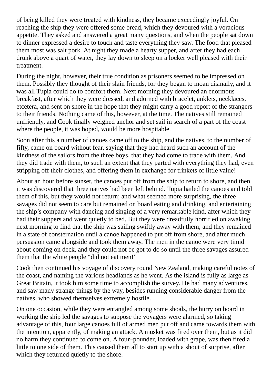of being killed they were treated with kindness, they became exceedingly joyful. On reaching the ship they were offered some bread, which they devoured with a voracious appetite. They asked and answered a great many questions, and when the people sat down to dinner expressed a desire to touch and taste everything they saw. The food that pleased them most was salt pork. At night they made a hearty supper, and after they had each drunk above a quart of water, they lay down to sleep on a locker well pleased with their treatment.

During the night, however, their true condition as prisoners seemed to be impressed on them. Possibly they thought of their slain friends, for they began to moan dismally, and it was all Tupia could do to comfort them. Next morning they devoured an enormous breakfast, after which they were dressed, and adorned with bracelet, anklets, necklaces, etcetera, and sent on shore in the hope that they might carry a good report of the strangers to their friends. Nothing came of this, however, at the time. The natives still remained unfriendly, and Cook finally weighed anchor and set sail in search of a part of the coast where the people, it was hoped, would be more hospitable.

Soon after this a number of canoes came off to the ship, and the natives, to the number of fifty, came on board without fear, saying that they had heard such an account of the kindness of the sailors from the three boys, that they had come to trade with them. And they did trade with them, to such an extent that they parted with everything they had, even stripping off their clothes, and offering them in exchange for trinkets of little value!

About an hour before sunset, the canoes put off from the ship to return to shore, and then it was discovered that three natives had been left behind. Tupia hailed the canoes and told them of this, but they would not return; and what seemed more surprising, the three savages did not seem to care but remained on board eating and drinking, and entertaining the ship's company with dancing and singing of a very remarkable kind, after which they had their suppers and went quietly to bed. But they were dreadfully horrified on awaking next morning to find that the ship was sailing swiftly away with them; and they remained in a state of consternation until a canoe happened to put off from shore, and after much persuasion came alongside and took them away. The men in the canoe were very timid about coming on deck, and they could not be got to do so until the three savages assured them that the white people "did not eat men!"

Cook then continued his voyage of discovery round New Zealand, making careful notes of the coast, and naming the various headlands as he went. As the island is fully as large as Great Britain, it took him some time to accomplish the survey. He had many adventures, and saw many strange things by the way, besides running considerable danger from the natives, who showed themselves extremely hostile.

On one occasion, while they were entangled among some shoals, the hurry on board in working the ship led the savages to suppose the voyagers were alarmed, so taking advantage of this, four large canoes full of armed men put off and came towards them with the intention, apparently, of making an attack. A musket was fired over them, but as it did no harm they continued to come on. A four–pounder, loaded with grape, was then fired a little to one side of them. This caused them all to start up with a shout of surprise, after which they returned quietly to the shore.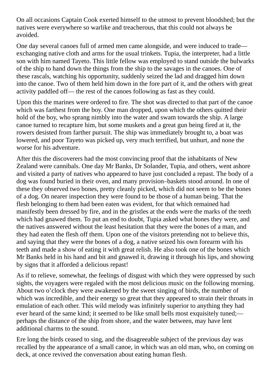On all occasions Captain Cook exerted himself to the utmost to prevent bloodshed; but the natives were everywhere so warlike and treacherous, that this could not always be avoided.

One day several canoes full of armed men came alongside, and were induced to trade exchanging native cloth and arms for the usual trinkets. Tupia, the interpreter, had a little son with him named Tayeto. This little fellow was employed to stand outside the bulwarks of the ship to hand down the things from the ship to the savages in the canoes. One of these rascals, watching his opportunity, suddenly seized the lad and dragged him down into the canoe. Two of them held him down in the fore part of it, and the others with great activity paddled off— the rest of the canoes following as fast as they could.

Upon this the marines were ordered to fire. The shot was directed to that part of the canoe which was farthest from the boy. One man dropped, upon which the others quitted their hold of the boy, who sprang nimbly into the water and swam towards the ship. A large canoe turned to recapture him, but some muskets and a great gun being fired at it, the rowers desisted from farther pursuit. The ship was immediately brought to, a boat was lowered, and poor Tayeto was picked up, very much terrified, but unhurt, and none the worse for his adventure.

After this the discoverers had the most convincing proof that the inhabitants of New Zealand were cannibals. One day Mr Banks, Dr Solander, Tupia, and others, went ashore and visited a party of natives who appeared to have just concluded a repast. The body of a dog was found buried in their oven, and many provision–baskets stood around. In one of these they observed two bones, pretty cleanly picked, which did not seem to be the bones of a dog. On nearer inspection they were found to be those of a human being. That the flesh belonging to them had been eaten was evident, for that which remained had manifestly been dressed by fire, and in the gristles at the ends were the marks of the teeth which had gnawed them. To put an end to doubt, Tupia asked what bones they were, and the natives answered without the least hesitation that they were the bones of a man, and they had eaten the flesh off them. Upon one of the visitors pretending not to believe this, and saying that they were the bones of a dog, a native seized his own forearm with his teeth and made a show of eating it with great relish. He also took one of the bones which Mr Banks held in his hand and bit and gnawed it, drawing it through his lips, and showing by signs that it afforded a delicious repast!

As if to relieve, somewhat, the feelings of disgust with which they were oppressed by such sights, the voyagers were regaled with the most delicious music on the following morning. About two o'clock they were awakened by the sweet singing of birds, the number of which was incredible, and their energy so great that they appeared to strain their throats in emulation of each other. This wild melody was infinitely superior to anything they had ever heard of the same kind; it seemed to be like small bells most exquisitely tuned: perhaps the distance of the ship from shore, and the water between, may have lent additional charms to the sound.

Ere long the birds ceased to sing, and the disagreeable subject of the previous day was recalled by the appearance of a small canoe, in which was an old man, who, on coming on deck, at once revived the conversation about eating human flesh.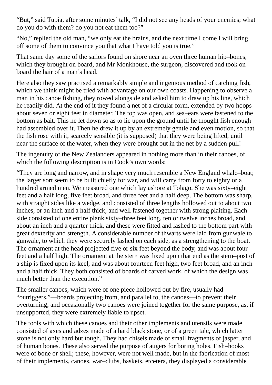"But," said Tupia, after some minutes' talk, "I did not see any heads of your enemies; what do you do with them? do you not eat them too?"

"No," replied the old man, "we only eat the brains, and the next time I come I will bring off some of them to convince you that what I have told you is true."

That same day some of the sailors found on shore near an oven three human hip–bones, which they brought on board, and Mr Monkhouse, the surgeon, discovered and took on board the hair of a man's head.

Here also they saw practised a remarkably simple and ingenious method of catching fish, which we think might be tried with advantage on our own coasts. Happening to observe a man in his canoe fishing, they rowed alongside and asked him to draw up his line, which he readily did. At the end of it they found a net of a circular form, extended by two hoops about seven or eight feet in diameter. The top was open, and sea–ears were fastened to the bottom as bait. This he let down so as to lie upon the ground until he thought fish enough had assembled over it. Then he drew it up by an extremely gentle and even motion, so that the fish rose with it, scarcely sensible (it is supposed) that they were being lifted, until near the surface of the water, when they were brought out in the net by a sudden pull!

The ingenuity of the New Zealanders appeared in nothing more than in their canoes, of which the following description is in Cook's own words:

"They are long and narrow, and in shape very much resemble a New England whale–boat; the larger sort seem to be built chiefly for war, and will carry from forty to eighty or a hundred armed men. We measured one which lay ashore at Tolago. She was sixty–eight feet and a half long, five feet broad, and three feet and a half deep. The bottom was sharp, with straight sides like a wedge, and consisted of three lengths hollowed out to about two inches, or an inch and a half thick, and well fastened together with strong plaiting. Each side consisted of one entire plank sixty–three feet long, ten or twelve inches broad, and about an inch and a quarter thick, and these were fitted and lashed to the bottom part with great dexterity and strength. A considerable number of thwarts were laid from gunwale to gunwale, to which they were securely lashed on each side, as a strengthening to the boat. The ornament at the head projected five or six feet beyond the body, and was about four feet and a half high. The ornament at the stern was fixed upon that end as the stern–post of a ship is fixed upon its keel, and was about fourteen feet high, two feet broad, and an inch and a half thick. They both consisted of boards of carved work, of which the design was much better than the execution."

The smaller canoes, which were of one piece hollowed out by fire, usually had "outriggers,"—boards projecting from, and parallel to, the canoes—to prevent their overturning, and occasionally two canoes were joined together for the same purpose, as, if unsupported, they were extremely liable to upset.

The tools with which these canoes and their other implements and utensils were made consisted of axes and adzes made of a hard black stone, or of a green talc, which latter stone is not only hard but tough. They had chisels made of small fragments of jasper, and of human bones. These also served the purpose of augers for boring holes. Fish–hooks were of bone or shell; these, however, were not well made, but in the fabrication of most of their implements, canoes, war–clubs, baskets, etcetera, they displayed a considerable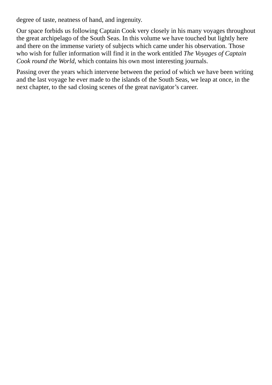degree of taste, neatness of hand, and ingenuity.

Our space forbids us following Captain Cook very closely in his many voyages throughout the great archipelago of the South Seas. In this volume we have touched but lightly here and there on the immense variety of subjects which came under his observation. Those who wish for fuller information will find it in the work entitled *The Voyages of Captain Cook round the World*, which contains his own most interesting journals.

Passing over the years which intervene between the period of which we have been writing and the last voyage he ever made to the islands of the South Seas, we leap at once, in the next chapter, to the sad closing scenes of the great navigator's career.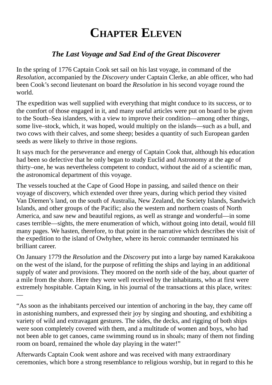## **CHAPTER ELEVEN**

#### *The Last Voyage and Sad End of the Great Discoverer*

<span id="page-45-0"></span>In the spring of 1776 Captain Cook set sail on his last voyage, in command of the *Resolution*, accompanied by the *Discovery* under Captain Clerke, an able officer, who had been Cook's second lieutenant on board the *Resolution* in his second voyage round the world.

The expedition was well supplied with everything that might conduce to its success, or to the comfort of those engaged in it, and many useful articles were put on board to be given to the South–Sea islanders, with a view to improve their condition—among other things, some live–stock, which, it was hoped, would multiply on the islands—such as a bull, and two cows with their calves, and some sheep; besides a quantity of such European garden seeds as were likely to thrive in those regions.

It says much for the perseverance and energy of Captain Cook that, although his education had been so defective that he only began to study Euclid and Astronomy at the age of thirty–one, he was nevertheless competent to conduct, without the aid of a scientific man, the astronomical department of this voyage.

The vessels touched at the Cape of Good Hope in passing, and sailed thence on their voyage of discovery, which extended over three years, during which period they visited Van Diemen's land, on the south of Australia, New Zealand, the Society Islands, Sandwich Islands, and other groups of the Pacific; also the western and northern coasts of North America, and saw new and beautiful regions, as well as strange and wonderful—in some cases terrible—sights, the mere enumeration of which, without going into detail, would fill many pages. We hasten, therefore, to that point in the narrative which describes the visit of the expedition to the island of Owhyhee, where its heroic commander terminated his brilliant career.

On January 1779 the *Resolution* and the *Discovery* put into a large bay named Karakakooa on the west of the island, for the purpose of refitting the ships and laying in an additional supply of water and provisions. They moored on the north side of the bay, about quarter of a mile from the shore. Here they were well received by the inhabitants, who at first were extremely hospitable. Captain King, in his journal of the transactions at this place, writes: —

"As soon as the inhabitants perceived our intention of anchoring in the bay, they came off in astonishing numbers, and expressed their joy by singing and shouting, and exhibiting a variety of wild and extravagant gestures. The sides, the decks, and rigging of both ships were soon completely covered with them, and a multitude of women and boys, who had not been able to get canoes, came swimming round us in shoals; many of them not finding room on board, remained the whole day playing in the water!"

Afterwards Captain Cook went ashore and was received with many extraordinary ceremonies, which bore a strong resemblance to religious worship, but in regard to this he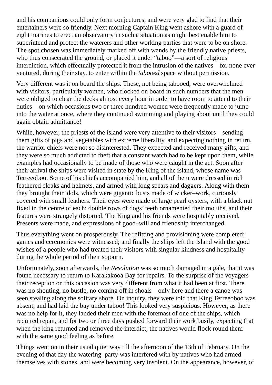and his companions could only form conjectures, and were very glad to find that their entertainers were so friendly. Next morning Captain King went ashore with a guard of eight marines to erect an observatory in such a situation as might best enable him to superintend and protect the waterers and other working parties that were to be on shore. The spot chosen was immediately marked off with wands by the friendly native priests, who thus consecrated the ground, or placed it under "taboo"—a sort of religious interdiction, which effectually protected it from the intrusion of the natives—for none ever ventured, during their stay, to enter within the *tabooed* space without permission.

Very different was it on board the ships. These, not being tabooed, were overwhelmed with visitors, particularly women, who flocked on board in such numbers that the men were obliged to clear the decks almost every hour in order to have room to attend to their duties—on which occasions two or three hundred women were frequently made to jump into the water at once, where they continued swimming and playing about until they could again obtain admittance!

While, however, the priests of the island were very attentive to their visitors—sending them gifts of pigs and vegetables with extreme liberality, and expecting nothing in return, the warrior chiefs were not so disinterested. They expected and received many gifts, and they were so much addicted to theft that a constant watch had to be kept upon them, while examples had occasionally to be made of those who were caught in the act. Soon after their arrival the ships were visited in state by the King of the island, whose name was Terreeoboo. Some of his chiefs accompanied him, and all of them were dressed in rich feathered cloaks and helmets, and armed with long spears and daggers. Along with them they brought their idols, which were gigantic busts made of wicker–work, curiously covered with small feathers. Their eyes were made of large pearl oysters, with a black nut fixed in the centre of each; double rows of dogs' teeth ornamented their mouths, and their features were strangely distorted. The King and his friends were hospitably received. Presents were made, and expressions of good–will and friendship interchanged.

Thus everything went on prosperously. The refitting and provisioning were completed; games and ceremonies were witnessed; and finally the ships left the island with the good wishes of a people who had treated their visitors with singular kindness and hospitality during the whole period of their sojourn.

Unfortunately, soon afterwards, the *Resolution* was so much damaged in a gale, that it was found necessary to return to Karakakooa Bay for repairs. To the surprise of the voyagers their reception on this occasion was very different from what it had been at first. There was no shouting, no bustle, no coming off in shoals—only here and there a canoe was seen stealing along the solitary shore. On inquiry, they were told that King Terreeoboo was absent, and had laid the bay under taboo! This looked very suspicious. However, as there was no help for it, they landed their men with the foremast of one of the ships, which required repair, and for two or three days pushed forward their work busily, expecting that when the king returned and removed the interdict, the natives would flock round them with the same good feeling as before.

Things went on in their usual quiet way till the afternoon of the 13th of February. On the evening of that day the watering–party was interfered with by natives who had armed themselves with stones, and were becoming very insolent. On the appearance, however, of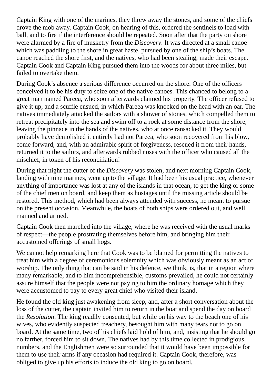Captain King with one of the marines, they threw away the stones, and some of the chiefs drove the mob away. Captain Cook, on hearing of this, ordered the sentinels to load with ball, and to fire if the interference should be repeated. Soon after that the party on shore were alarmed by a fire of musketry from the *Discovery*. It was directed at a small canoe which was paddling to the shore in great haste, pursued by one of the ship's boats. The canoe reached the shore first, and the natives, who had been stealing, made their escape. Captain Cook and Captain King pursued them into the woods for about three miles, but failed to overtake them.

During Cook's absence a serious difference occurred on the shore. One of the officers conceived it to be his duty to seize one of the native canoes. This chanced to belong to a great man named Pareea, who soon afterwards claimed his property. The officer refused to give it up, and a scuffle ensued, in which Pareea was knocked on the head with an oar. The natives immediately attacked the sailors with a shower of stones, which compelled them to retreat precipitately into the sea and swim off to a rock at some distance from the shore, leaving the pinnace in the hands of the natives, who at once ransacked it. They would probably have demolished it entirely had not Pareea, who soon recovered from his blow, come forward, and, with an admirable spirit of forgiveness, rescued it from their hands, returned it to the sailors, and afterwards rubbed noses with the officer who caused all the mischief, in token of his reconciliation!

During that night the cutter of the *Discovery* was stolen, and next morning Captain Cook, landing with nine marines, went up to the village. It had been his usual practice, whenever anything of importance was lost at any of the islands in that ocean, to get the king or some of the chief men on board, and keep them as hostages until the missing article should be restored. This method, which had been always attended with success, he meant to pursue on the present occasion. Meanwhile, the boats of both ships were ordered out, and well manned and armed.

Captain Cook then marched into the village, where he was received with the usual marks of respect—the people prostrating themselves before him, and bringing him their accustomed offerings of small hogs.

We cannot help remarking here that Cook was to be blamed for permitting the natives to treat him with a degree of ceremonious solemnity which was obviously meant as an act of worship. The only thing that can be said in his defence, we think, is, that in a region where many remarkable, and to him incomprehensible, customs prevailed, he could not certainly assure himself that the people were not paying to him the ordinary homage which they were accustomed to pay to every great chief who visited their island.

He found the old king just awakening from sleep, and, after a short conversation about the loss of the cutter, the captain invited him to return in the boat and spend the day on board the *Resolution*. The king readily consented, but while on his way to the beach one of his wives, who evidently suspected treachery, besought him with many tears not to go on board. At the same time, two of his chiefs laid hold of him, and, insisting that he should go no farther, forced him to sit down. The natives had by this time collected in prodigious numbers, and the Englishmen were so surrounded that it would have been impossible for them to use their arms if any occasion had required it. Captain Cook, therefore, was obliged to give up his efforts to induce the old king to go on board.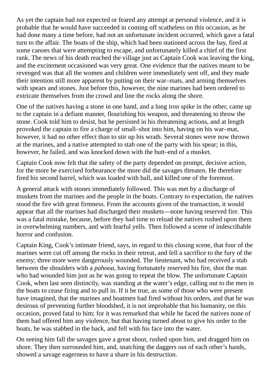As yet the captain had not expected or feared any attempt at personal violence, and it is probable that he would have succeeded in coming off scatheless on this occasion, as he had done many a time before, had not an unfortunate incident occurred, which gave a fatal turn to the affair. The boats of the ship, which had been stationed across the bay, fired at some canoes that were attempting to escape, and unfortunately killed a chief of the first rank. The news of his death reached the village just as Captain Cook was leaving the king, and the excitement occasioned was very great. One evidence that the natives meant to be revenged was that all the women and children were immediately sent off, and they made their intention still more apparent by putting on their war–mats, and arming themselves with spears and stones. Just before this, however, the nine marines had been ordered to extricate themselves from the crowd and line the rocks along the shore.

One of the natives having a stone in one hand, and a long iron spike in the other, came up to the captain in a defiant manner, flourishing his weapon, and threatening to throw the stone. Cook told him to desist, but he persisted in his threatening actions, and at length provoked the captain to fire a charge of small–shot into him, having on his war–mat, however, it had no other effect than to stir up his wrath. Several stones were now thrown at the marines, and a native attempted to stab one of the party with his spear; in this, however, he failed, and was knocked down with the butt–end of a musket.

Captain Cook now felt that the safety of the party depended on prompt, decisive action, for the more he exercised forbearance the more did the savages threaten. He therefore fired his second barrel, which was loaded with ball, and killed one of the foremost.

A general attack with stones immediately followed. This was met by a discharge of muskets from the marines and the people in the boats. Contrary to expectation, the natives stood the fire with great firmness. From the accounts given of the transaction, it would appear that all the marines had discharged their muskets—none having reserved fire. This was a fatal mistake, because, before they had time to reload the natives rushed upon them in overwhelming numbers, and with fearful yells. Then followed a scene of indescribable horror and confusion.

Captain King, Cook's intimate friend, says, in regard to this closing scene, that four of the marines were cut off among the rocks in their retreat, and fell a sacrifice to the fury of the enemy; three more were dangerously wounded. The lieutenant, who had received a stab between the shoulders with a *pahooa*, having fortunately reserved his fire, shot the man who had wounded him just as he was going to repeat the blow. The unfortunate Captain Cook, when last seen distinctly, was standing at the water's edge, calling out to the men in the boats to cease firing and to pull in. If it be true, as some of those who were present have imagined, that the marines and boatmen had fired without his orders, and that he was desirous of preventing further bloodshed, it is not improbable that his humanity, on this occasion, proved fatal to him; for it was remarked that while he faced the natives none of them had offered him any violence, but that having turned about to give his order to the boats, he was stabbed in the back, and fell with his face into the water.

On seeing him fall the savages gave a great shout, rushed upon him, and dragged him on shore. They then surrounded him, and, snatching the daggers out of each other's hands, showed a savage eagerness to have a share in his destruction.